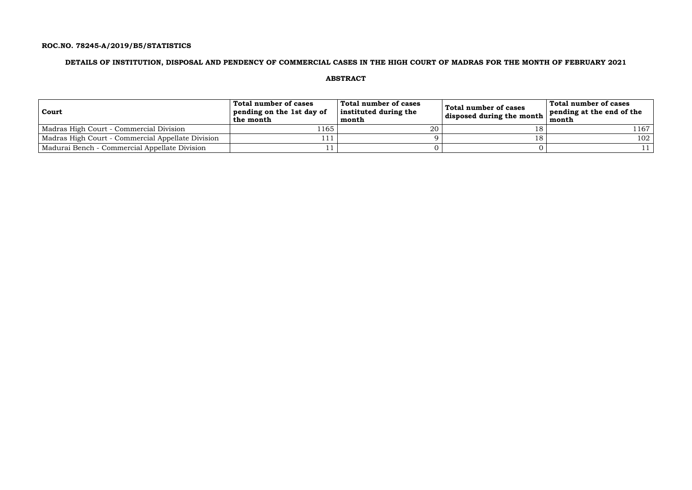### **ROC.NO. 78245-A/2019/B5/STATISTICS**

### **DETAILS OF INSTITUTION, DISPOSAL AND PENDENCY OF COMMERCIAL CASES IN THE HIGH COURT OF MADRAS FOR THE MONTH OF FEBRUARY 2021**

#### **ABSTRACT**

| Court                                             | Total number of cases<br>pending on the 1st day of<br>the month | Total number of cases<br>instituted during the<br>month | Total number of cases<br>disposed during the month | Total number of cases<br>pending at the end of the<br>month |
|---------------------------------------------------|-----------------------------------------------------------------|---------------------------------------------------------|----------------------------------------------------|-------------------------------------------------------------|
| Madras High Court - Commercial Division           | !165                                                            | 20                                                      |                                                    | l 167                                                       |
| Madras High Court - Commercial Appellate Division |                                                                 |                                                         |                                                    | 102                                                         |
| Madurai Bench - Commercial Appellate Division     |                                                                 |                                                         |                                                    |                                                             |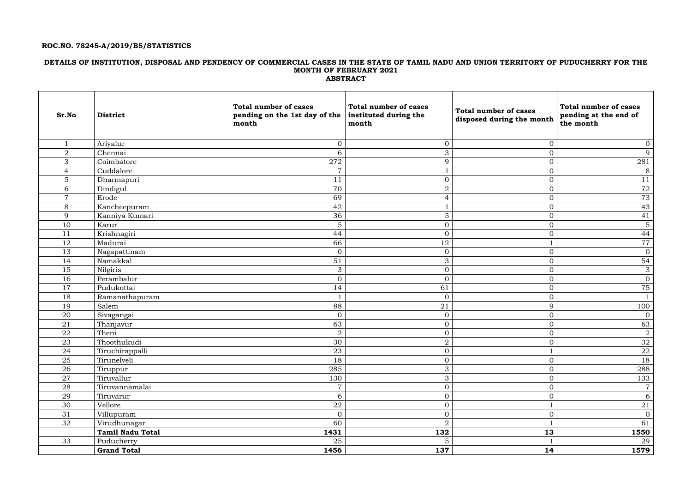### **ROC.NO. 78245-A/2019/B5/STATISTICS**

#### **DETAILS OF INSTITUTION, DISPOSAL AND PENDENCY OF COMMERCIAL CASES IN THE STATE OF TAMIL NADU AND UNION TERRITORY OF PUDUCHERRY FOR THE MONTH OF FEBRUARY 2021 ABSTRACT**

| Sr.No          | <b>District</b>         | <b>Total number of cases</b><br>pending on the 1st day of the<br>month | <b>Total number of cases</b><br>instituted during the<br>month | <b>Total number of cases</b><br>disposed during the month | <b>Total number of cases</b><br>pending at the end of<br>the month |
|----------------|-------------------------|------------------------------------------------------------------------|----------------------------------------------------------------|-----------------------------------------------------------|--------------------------------------------------------------------|
|                | Ariyalur                | $\overline{0}$                                                         | $\mathbf{0}$                                                   | $\overline{0}$                                            | $\overline{0}$                                                     |
| $\overline{2}$ | Chennai                 | 6                                                                      | 3                                                              | $\overline{0}$                                            | 9                                                                  |
| 3              | Coimbatore              | 272                                                                    | 9                                                              | $\mathbf{0}$                                              | $281\,$                                                            |
| $\overline{4}$ | Cuddalore               | $\overline{7}$                                                         |                                                                | $\mathbf{0}$                                              | 8                                                                  |
| 5              | Dharmapuri              | 11                                                                     | $\mathbf{0}$                                                   | $\mathbf{0}$                                              | 11                                                                 |
| 6              | Dindigul                | 70                                                                     | $\overline{2}$                                                 | $\mathbf{0}$                                              | 72                                                                 |
| $\overline{7}$ | Erode                   | 69                                                                     | $\overline{4}$                                                 | $\boldsymbol{0}$                                          | 73                                                                 |
| 8              | Kancheepuram            | 42                                                                     |                                                                | $\overline{0}$                                            | 43                                                                 |
| 9              | Kanniya Kumari          | 36                                                                     | $5\phantom{.}$                                                 | $\overline{0}$                                            | 41                                                                 |
| 10             | Karur                   | 5                                                                      | $\mathbf{0}$                                                   | $\mathbf{0}$                                              | 5 <sup>1</sup>                                                     |
| 11             | Krishnagiri             | 44                                                                     | $\mathbf{0}$                                                   | $\boldsymbol{0}$                                          | 44                                                                 |
| 12             | Madurai                 | 66                                                                     | 12                                                             |                                                           | 77                                                                 |
| 13             | Nagapattinam            | $\mathbf{0}$                                                           | $\mathbf{0}$                                                   | $\mathbf{0}$                                              | $\overline{0}$                                                     |
| 14             | Namakkal                | 51                                                                     | 3                                                              | $\mathbf{0}$                                              | 54                                                                 |
| 15             | Nilgiris                | $\mathfrak{Z}$                                                         | $\mathbf{0}$                                                   | $\overline{0}$                                            | 3 <sup>1</sup>                                                     |
| 16             | Perambalur              | $\mathbf{0}$                                                           | $\mathbf{0}$                                                   | $\mathbf{0}$                                              | $\overline{0}$                                                     |
| 17             | Pudukottai              | 14                                                                     | 61                                                             | $\mathbf{0}$                                              | 75                                                                 |
| 18             | Ramanathapuram          | $\mathbf{1}$                                                           | $\mathbf{0}$                                                   | $\mathbf{0}$                                              |                                                                    |
| 19             | Salem                   | 88                                                                     | 21                                                             | $\overline{9}$                                            | 100                                                                |
| 20             | Sivagangai              | $\mathbf{0}$                                                           | $\overline{0}$                                                 | $\overline{0}$                                            | $\overline{0}$                                                     |
| 21             | Thanjavur               | 63                                                                     | $\mathbf{0}$                                                   | $\mathbf{0}$                                              | 63                                                                 |
| 22             | Theni                   | 2                                                                      | $\mathbf{0}$                                                   | $\overline{0}$                                            | $\overline{a}$                                                     |
| 23             | Thoothukudi             | 30                                                                     | $\overline{2}$                                                 | $\overline{0}$                                            | 32                                                                 |
| 24             | Tiruchirappalli         | <u>23</u>                                                              | $\Omega$<br>◡                                                  | $\overline{1}$                                            | $\overline{22}$                                                    |
| 25             | Tirunelveli             | 18                                                                     | $\mathbf{0}$                                                   | $\overline{0}$                                            | 18                                                                 |
| 26             | Tiruppur                | 285                                                                    | $\mathbf{3}$                                                   | $\overline{0}$                                            | 288                                                                |
| 27             | Tiruvallur              | 130                                                                    | $\mathbf{3}$                                                   | $\overline{0}$                                            | 133                                                                |
| 28             | Tiruvannamalai          | $\overline{7}$                                                         | $\mathbf{0}$                                                   | $\overline{0}$                                            | 7 <sup>1</sup>                                                     |
| 29             | Tiruvarur               | 6                                                                      | $\overline{0}$                                                 | $\overline{0}$                                            | 6 <sup>1</sup>                                                     |
| 30             | Vellore                 | ${\bf 22}$                                                             | $\mathbf{0}$                                                   | $\mathbf{1}$                                              | 21                                                                 |
| 31             | Villupuram              | $\overline{0}$                                                         | $\overline{0}$                                                 | $\overline{0}$                                            | $\overline{0}$                                                     |
| 32             | Virudhunagar            | 60                                                                     | $\overline{2}$                                                 |                                                           | 61                                                                 |
|                | <b>Tamil Nadu Total</b> | 1431                                                                   | 132                                                            | 13                                                        | 1550                                                               |
| 33             | Puducherry              | 25                                                                     | $5\overline{)}$                                                |                                                           | 29                                                                 |
|                | <b>Grand Total</b>      | 1456                                                                   | 137                                                            | 14                                                        | 1579                                                               |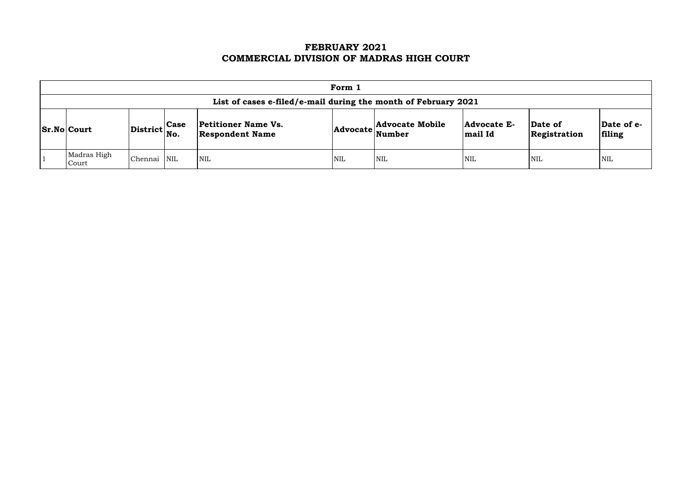## **FEBRUARY 2021 COMMERCIAL DIVISION OF MADRAS HIGH COURT**

|                 | Form 1                                                         |                                                                                                                                                     |            |            |            |                                                                                                                     |            |     |            |  |  |
|-----------------|----------------------------------------------------------------|-----------------------------------------------------------------------------------------------------------------------------------------------------|------------|------------|------------|---------------------------------------------------------------------------------------------------------------------|------------|-----|------------|--|--|
|                 | List of cases e-filed/e-mail during the month of February 2021 |                                                                                                                                                     |            |            |            |                                                                                                                     |            |     |            |  |  |
| $ Sr.No $ Court |                                                                | <b>Petitioner Name Vs.</b><br>$\begin{array}{c c} \textbf{District} & \textbf{Case} \\ \hline \textbf{No.} & \end{array}$<br><b>Respondent Name</b> |            |            |            | Advocate Advocate Mobile<br>Date of e-<br><b>Advocate E-</b><br><b>Date of</b><br>filing<br>mail Id<br>Registration |            |     |            |  |  |
|                 | Madras High<br>Court                                           | Chennai                                                                                                                                             | <b>NIL</b> | <b>NIL</b> | <b>NIL</b> | <b>NIL</b>                                                                                                          | <b>NIL</b> | NIL | <b>NIL</b> |  |  |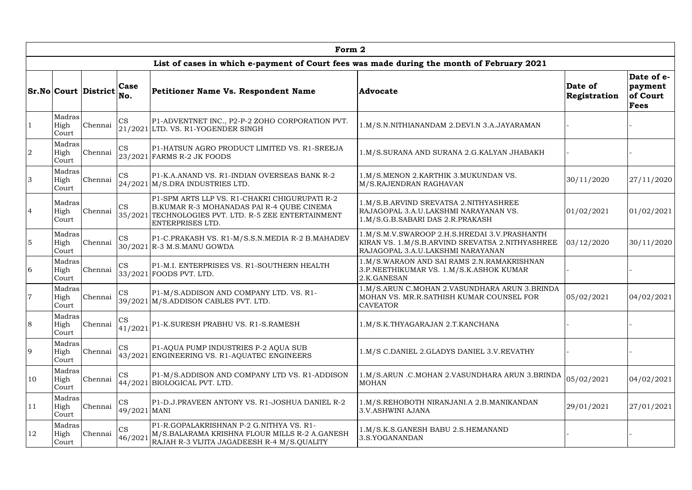|                 | Form 2                  |                             |                       |                                                                                                                                                                        |                                                                                                                                      |                         |                                           |  |  |  |  |  |
|-----------------|-------------------------|-----------------------------|-----------------------|------------------------------------------------------------------------------------------------------------------------------------------------------------------------|--------------------------------------------------------------------------------------------------------------------------------------|-------------------------|-------------------------------------------|--|--|--|--|--|
|                 |                         |                             |                       | List of cases in which e-payment of Court fees was made during the month of February 2021                                                                              |                                                                                                                                      |                         |                                           |  |  |  |  |  |
|                 |                         | <b>Sr.No Court District</b> | Case<br>No.           | Petitioner Name Vs. Respondent Name                                                                                                                                    | <b>Advocate</b>                                                                                                                      | Date of<br>Registration | Date of e-<br>payment<br>of Court<br>Fees |  |  |  |  |  |
|                 | Madras<br>High<br>Court | Chennai                     | CS                    | P1-ADVENTNET INC., P2-P-2 ZOHO CORPORATION PVT.<br>21/2021 LTD. VS. R1-YOGENDER SINGH                                                                                  | 1.M/S.N.NITHIANANDAM 2.DEVI.N 3.A.JAYARAMAN                                                                                          |                         |                                           |  |  |  |  |  |
| <sup>2</sup>    | Madras<br>High<br>Court | Chennai                     | <b>CS</b>             | P1-HATSUN AGRO PRODUCT LIMITED VS. R1-SREEJA<br>$23/2021$ FARMS R-2 JK FOODS                                                                                           | 1.M/S.SURANA AND SURANA 2.G.KALYAN JHABAKH                                                                                           |                         |                                           |  |  |  |  |  |
| $\vert 3 \vert$ | Madras<br>High<br>Court | Chennai                     | CS                    | P1-K.A.ANAND VS. R1-INDIAN OVERSEAS BANK R-2<br>24/2021 M/S.DRA INDUSTRIES LTD.                                                                                        | 1.M/S.MENON 2.KARTHIK 3.MUKUNDAN VS.<br>M/S.RAJENDRAN RAGHAVAN                                                                       | 30/11/2020              | 27/11/2020                                |  |  |  |  |  |
| $\overline{4}$  | Madras<br>High<br>Court | Chennai                     | <b>CS</b>             | P1-SPM ARTS LLP VS. R1-CHAKRI CHIGURUPATI R-2<br>B.KUMAR R-3 MOHANADAS PAI R-4 QUBE CINEMA<br>35/2021 TECHNOLOGIES PVT. LTD. R-5 ZEE ENTERTAINMENT<br>ENTERPRISES LTD. | 1.M/S.B.ARVIND SREVATSA 2.NITHYASHREE<br>RAJAGOPAL 3.A.U.LAKSHMI NARAYANAN VS.<br>1.M/S.G.B.SABARI DAS 2.R.PRAKASH                   | 01/02/2021              | 01/02/2021                                |  |  |  |  |  |
| $\overline{5}$  | Madras<br>High<br>Court | Chennai                     | <b>CS</b>             | P1-C.PRAKASH VS. R1-M/S.S.N.MEDIA R-2 B.MAHADEV<br>30/2021 R-3 M.S.MANU GOWDA                                                                                          | 1.M/S.M.V.SWAROOP 2.H.S.HREDAI 3.V.PRASHANTH<br>KIRAN VS. 1.M/S.B.ARVIND SREVATSA 2.NITHYASHREE<br>RAJAGOPAL 3.A.U.LAKSHMI NARAYANAN | 03/12/2020              | 30/11/2020                                |  |  |  |  |  |
| 6               | Madras<br>High<br>Court | Chennai                     | $\mathbf{CS}$         | P1-M.I. ENTERPRISES VS. R1-SOUTHERN HEALTH<br>33/2021 FOODS PVT. LTD.                                                                                                  | 1.M/S.WARAON AND SAI RAMS 2.N.RAMAKRISHNAN<br>3.P.NEETHIKUMAR VS. 1.M/S.K.ASHOK KUMAR<br>2.K.GANESAN                                 |                         |                                           |  |  |  |  |  |
| $\overline{7}$  | Madras<br>High<br>Court | Chennai                     | <b>CS</b>             | P1-M/S.ADDISON AND COMPANY LTD. VS. R1-<br>39/2021 M/S.ADDISON CABLES PVT. LTD.                                                                                        | 1.M/S.ARUN C.MOHAN 2.VASUNDHARA ARUN 3.BRINDA<br>MOHAN VS. MR.R.SATHISH KUMAR COUNSEL FOR<br><b>CAVEATOR</b>                         | 05/02/2021              | 04/02/2021                                |  |  |  |  |  |
| 8               | Madras<br>High<br>Court | Chennai                     | <b>CS</b><br> 41/2021 | P1-K.SURESH PRABHU VS. R1-S.RAMESH                                                                                                                                     | 1.M/S.K.THYAGARAJAN 2.T.KANCHANA                                                                                                     |                         |                                           |  |  |  |  |  |
| 9               | Madras<br>High<br>Court | Chennai                     | <b>CS</b>             | P1-AQUA PUMP INDUSTRIES P-2 AQUA SUB<br>43/2021 ENGINEERING VS. R1-AQUATEC ENGINEERS                                                                                   | .M/S C.DANIEL 2.GLADYS DANIEL 3.V.REVATHY                                                                                            |                         |                                           |  |  |  |  |  |
| 10              | Madras<br>High<br>Court | Chennai                     | <b>CS</b>             | P1-M/S.ADDISON AND COMPANY LTD VS. R1-ADDISON<br>44/2021 BIOLOGICAL PVT. LTD.                                                                                          | 1.M/S.ARUN .C.MOHAN 2.VASUNDHARA ARUN 3.BRINDA<br><b>MOHAN</b>                                                                       | 05/02/2021              | 04/02/2021                                |  |  |  |  |  |
| 11              | Madras<br>High<br>Court | Chennai                     | CS<br>49/2021 MANI    | P1-D.J.PRAVEEN ANTONY VS. R1-JOSHUA DANIEL R-2                                                                                                                         | 1.M/S.REHOBOTH NIRANJANI.A 2.B.MANIKANDAN<br>3.V.ASHWINI AJANA                                                                       | 29/01/2021              | 27/01/2021                                |  |  |  |  |  |
| <sup>12</sup>   | Madras<br>High<br>Court | Chennai                     | CS<br>46/2021         | P1-R.GOPALAKRISHNAN P-2 G.NITHYA VS. R1-<br>M/S.BALARAMA KRISHNA FLOUR MILLS R-2 A.GANESH<br>RAJAH R-3 VIJITA JAGADEESH R-4 M/S.QUALITY                                | M/S.K.S.GANESH BABU 2.S.HEMANAND<br>3.S.YOGANANDAN                                                                                   |                         |                                           |  |  |  |  |  |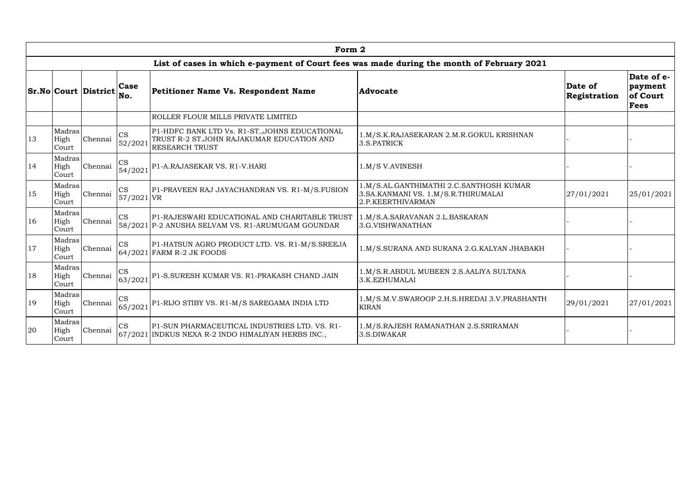|    | Form 2                  |                             |                                                                                                                                                           |                                                                                                     |                                                                                                          |                         |                                           |  |  |  |  |  |
|----|-------------------------|-----------------------------|-----------------------------------------------------------------------------------------------------------------------------------------------------------|-----------------------------------------------------------------------------------------------------|----------------------------------------------------------------------------------------------------------|-------------------------|-------------------------------------------|--|--|--|--|--|
|    |                         |                             |                                                                                                                                                           | List of cases in which e-payment of Court fees was made during the month of February 2021           |                                                                                                          |                         |                                           |  |  |  |  |  |
|    |                         | <b>Sr.No Court District</b> | Case<br>No.                                                                                                                                               | Petitioner Name Vs. Respondent Name                                                                 | <b>Advocate</b>                                                                                          | Date of<br>Registration | Date of e-<br>payment<br>of Court<br>Fees |  |  |  |  |  |
|    |                         |                             |                                                                                                                                                           | <b>ROLLER FLOUR MILLS PRIVATE LIMITED</b>                                                           |                                                                                                          |                         |                                           |  |  |  |  |  |
| 13 | Madras<br>High<br>Court | Chennai                     | P1-HDFC BANK LTD Vs. R1-ST., JOHNS EDUCATIONAL<br>$\overline{\text{CS}}$<br>TRUST R-2 ST.JOHN RAJAKUMAR EDUCATION AND<br>52/2021<br><b>RESEARCH TRUST</b> |                                                                                                     | 1.M/S.K.RAJASEKARAN 2.M.R.GOKUL KRISHNAN<br>3.S.PATRICK                                                  |                         |                                           |  |  |  |  |  |
| 14 | Madras<br>High<br>Court | Chennai                     | CS<br>54/2021                                                                                                                                             | P1-A.RAJASEKAR VS. R1-V.HARI                                                                        | 1.M/S V.AVINESH                                                                                          |                         |                                           |  |  |  |  |  |
| 15 | Madras<br>High<br>Court | Chennai                     | CS<br>$57/2021$ VR                                                                                                                                        | P1-PRAVEEN RAJ JAYACHANDRAN VS. R1-M/S.FUSION                                                       | 1.M/S.AL.GANTHIMATHI 2.C.SANTHOSH KUMAR<br>3. SA. KANMANI VS. 1. M/S. R. THIRUMALAI<br>2.P.KEERTHIVARMAN | 27/01/2021              | 25/01/2021                                |  |  |  |  |  |
| 16 | Madras<br>High<br>Court | Chennai                     | $\mathop{\rm CS}\nolimits$                                                                                                                                | P1-RAJESWARI EDUCATIONAL AND CHARITABLE TRUST<br>58/2021 P-2 ANUSHA SELVAM VS. R1-ARUMUGAM GOUNDAR  | 1.M/S.A.SARAVANAN 2.L.BASKARAN<br>3.G.VISHWANATHAN                                                       |                         |                                           |  |  |  |  |  |
| 17 | Madras<br>High<br>Court | Chennai                     | $\overline{\text{CS}}$                                                                                                                                    | P1-HATSUN AGRO PRODUCT LTD. VS. R1-M/S.SREEJA<br>64/2021 FARM R-2 JK FOODS                          | 1.M/S.SURANA AND SURANA 2.G.KALYAN JHABAKH                                                               |                         |                                           |  |  |  |  |  |
| 18 | Madras<br>High<br>Court | Chennai                     | $\mathbb{C}\mathbf{S}$<br>63/2021                                                                                                                         | P1-S.SURESH KUMAR VS. R1-PRAKASH CHAND JAIN                                                         | 1.M/S.R.ABDUL MUBEEN 2.S.AALIYA SULTANA<br>3.K.EZHUMALAI                                                 |                         |                                           |  |  |  |  |  |
| 19 | Madras<br>High<br>Court | Chennai                     | CS<br>65/2021                                                                                                                                             | P1-RIJO STIBY VS. R1-M/S SAREGAMA INDIA LTD                                                         | 1.M/S.M.V.SWAROOP 2.H.S.HREDAI 3.V.PRASHANTH<br><b>KIRAN</b>                                             | 29/01/2021              | 27/01/2021                                |  |  |  |  |  |
| 20 | Madras<br>High<br>Court | Chennai                     | $\overline{\text{CS}}$                                                                                                                                    | P1-SUN PHARMACEUTICAL INDUSTRIES LTD. VS. R1-<br>67/2021 INDKUS NEXA R-2 INDO HIMALIYAN HERBS INC., | 1.M/S.RAJESH RAMANATHAN 2.S.SRIRAMAN<br>3.S.DIWAKAR                                                      |                         |                                           |  |  |  |  |  |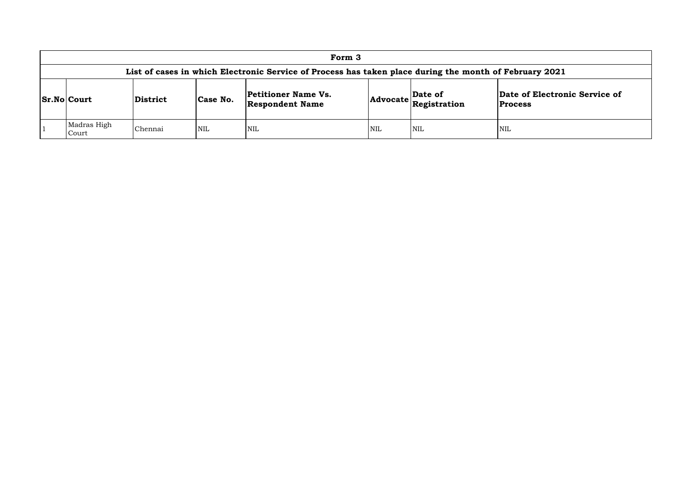| Form 3                                                                                         |                             |            |                                                      |            |                                                                            |                         |  |  |  |  |  |  |
|------------------------------------------------------------------------------------------------|-----------------------------|------------|------------------------------------------------------|------------|----------------------------------------------------------------------------|-------------------------|--|--|--|--|--|--|
| List of cases in which Electronic Service of Process has taken place during the month of Febru |                             |            |                                                      |            |                                                                            |                         |  |  |  |  |  |  |
| <b>Sr.No Court</b>                                                                             | <b>District</b><br>Case No. |            | <b>Petitioner Name Vs.</b><br><b>Respondent Name</b> |            | Date of<br>$ {\bf Advocate} \overline{\bf \mathop{Resistration}\nolimits}$ | Date o<br><b>Proces</b> |  |  |  |  |  |  |
| Madras High<br>Court                                                                           | Chennai                     | <b>NIL</b> | <b>NIL</b>                                           | <b>NIL</b> | NIL                                                                        | NIL                     |  |  |  |  |  |  |

# **List of Cases** because in which  $2021$

# **of Electronic Service of**

**Process**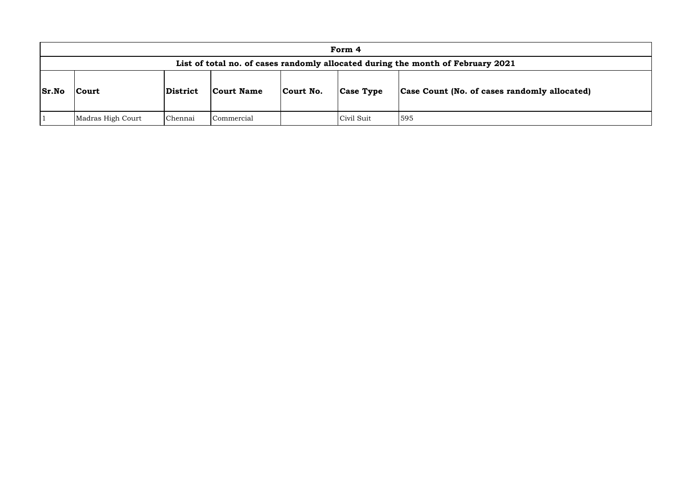| Form 4                |                                                                                 |                 |                   |           |                  |                               |  |  |  |  |  |  |  |
|-----------------------|---------------------------------------------------------------------------------|-----------------|-------------------|-----------|------------------|-------------------------------|--|--|--|--|--|--|--|
|                       | List of total no. of cases randomly allocated during the month of February 2021 |                 |                   |           |                  |                               |  |  |  |  |  |  |  |
| <b>Sr.No</b><br>Court |                                                                                 | <b>District</b> | <b>Court Name</b> | Court No. | <b>Case Type</b> | Case Count (No. of cases rand |  |  |  |  |  |  |  |
|                       | Madras High Court                                                               | Chennai         | Commercial        |           | Civil Suit       | 595                           |  |  |  |  |  |  |  |

# **s** domly allocated)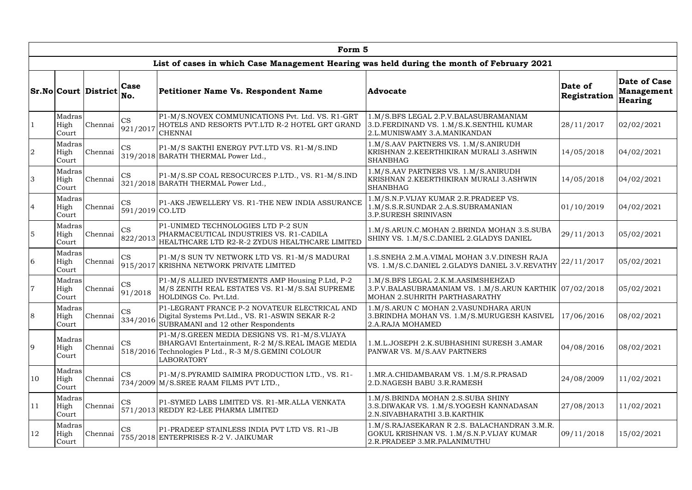|                 | Form 5                  |                             |                                   |                                                                                                                                                                                  |                                                                                                                                |                                |                                              |  |  |  |  |  |
|-----------------|-------------------------|-----------------------------|-----------------------------------|----------------------------------------------------------------------------------------------------------------------------------------------------------------------------------|--------------------------------------------------------------------------------------------------------------------------------|--------------------------------|----------------------------------------------|--|--|--|--|--|
|                 |                         |                             |                                   | List of cases in which Case Management Hearing was held during the month of February 2021                                                                                        |                                                                                                                                |                                |                                              |  |  |  |  |  |
|                 |                         | <b>Sr.No Court District</b> | Case<br>No.                       | Petitioner Name Vs. Respondent Name                                                                                                                                              | <b>Advocate</b>                                                                                                                | Date of<br><b>Registration</b> | Date of Case<br>Management<br><b>Hearing</b> |  |  |  |  |  |
|                 | Madras<br>High<br>Court | Chennai                     | $\mathbf{CS}$<br>921/2017         | P1-M/S.NOVEX COMMUNICATIONS Pvt. Ltd. VS. R1-GRT<br>HOTELS AND RESORTS PVT.LTD R-2 HOTEL GRT GRAND<br><b>CHENNAI</b>                                                             | 1.M/S.BFS LEGAL 2.P.V.BALASUBRAMANIAM<br>3.D.FERDINAND VS. 1.M/S.K.SENTHIL KUMAR<br>2.L.MUNISWAMY 3.A.MANIKANDAN               | 28/11/2017                     | 02/02/2021                                   |  |  |  |  |  |
| 2               | Madras<br>High<br>Court | Chennai                     | CS                                | P1-M/S SAKTHI ENERGY PVT.LTD VS. R1-M/S.IND<br>319/2018 BARATH THERMAL Power Ltd.,                                                                                               | 1.M/S.AAV PARTNERS VS. 1.M/S.ANIRUDH<br>KRISHNAN 2.KEERTHIKIRAN MURALI 3.ASHWIN<br><b>SHANBHAG</b>                             | 14/05/2018                     | 04/02/2021                                   |  |  |  |  |  |
| $\overline{3}$  | Madras<br>High<br>Court | Chennai                     | CS                                | P1-M/S.SP COAL RESOCURCES P.LTD., VS. R1-M/S.IND<br>321/2018 BARATH THERMAL Power Ltd.,                                                                                          | 1.M/S.AAV PARTNERS VS. 1.M/S.ANIRUDH<br>KRISHNAN 2.KEERTHIKIRAN MURALI 3.ASHWIN<br><b>SHANBHAG</b>                             | 14/05/2018                     | 04/02/2021                                   |  |  |  |  |  |
| $\vert 4 \vert$ | Madras<br>High<br>Court | Chennai                     | $\mathbf{CS}$<br>591/2019 CO.LTD  | P1-AKS JEWELLERY VS. R1-THE NEW INDIA ASSURANCE                                                                                                                                  | 1.M/S.N.P.VIJAY KUMAR 2.R.PRADEEP VS.<br>1.M/S.S.R.SUNDAR 2.A.S.SUBRAMANIAN<br>3.P.SURESH SRINIVASN                            | 01/10/2019                     | 04/02/2021                                   |  |  |  |  |  |
| <sup>5</sup>    | Madras<br>High<br>Court | Chennai                     | $\mathbb{C}\mathbf{S}$            | P1-UNIMED TECHNOLOGIES LTD P-2 SUN<br>$\begin{bmatrix} 22 \\ 822 / 2013 \end{bmatrix}$ PHARMACEUTICAL INDUSTRIES VS. R1-CADILA<br>HEALTHCARE LTD R2-R-2 ZYDUS HEALTHCARE LIMITED | 1.M/S.ARUN.C.MOHAN 2.BRINDA MOHAN 3.S.SUBA<br>SHINY VS. 1.M/S.C.DANIEL 2.GLADYS DANIEL                                         | 29/11/2013                     | 05/02/2021                                   |  |  |  |  |  |
| 6               | Madras<br>High<br>Court | Chennai                     | $\mathbf{CS}$                     | P1-M/S SUN TV NETWORK LTD VS. R1-M/S MADURAI<br>915/2017 KRISHNA NETWORK PRIVATE LIMITED                                                                                         | 1.S. SNEHA 2.M.A. VIMAL MOHAN 3.V. DINESH RAJA<br>VS. 1.M/S.C.DANIEL 2.GLADYS DANIEL 3.V.REVATHY                               | 22/11/2017                     | 05/02/2021                                   |  |  |  |  |  |
|                 | Madras<br>High<br>Court | Chennai                     | $\overline{\text{CS}}$<br>91/2018 | P1-M/S ALLIED INVESTMENTS AMP Housing P.Ltd, P-2<br>M/S ZENITH REAL ESTATES VS. R1-M/S.SAI SUPREME<br>HOLDINGS Co. Pvt.Ltd.                                                      | 1.M/S.BFS LEGAL 2.K.M.AASIMSHEHZAD<br>3.P.V.BALASUBRAMANIAM VS. 1.M/S.ARUN KARTHIK 07/02/2018<br>MOHAN 2.SUHRITH PARTHASARATHY |                                | 05/02/2021                                   |  |  |  |  |  |
| 8               | Madras<br>High<br>Court | Chennai                     | $\mathbf{CS}$<br>334/2016         | P1-LEGRANT FRANCE P-2 NOVATEUR ELECTRICAL AND<br>Digital Systems Pvt.Ltd., VS. R1-ASWIN SEKAR R-2<br>SUBRAMANI and 12 other Respondents                                          | 1.M/S.ARUN C MOHAN 2.VASUNDHARA ARUN<br>3.BRINDHA MOHAN VS. 1.M/S.MURUGESH KASIVEL<br>2.A.RAJA MOHAMED                         | 17/06/2016                     | 08/02/2021                                   |  |  |  |  |  |
| 9               | Madras<br>High<br>Court | Chennai                     | CS                                | P1-M/S.GREEN MEDIA DESIGNS VS. R1-M/S.VIJAYA<br>BHARGAVI Entertainment, R-2 M/S.REAL IMAGE MEDIA<br>518/2016 Technologies P Ltd., R-3 M/S.GEMINI COLOUR<br><b>LABORATORY</b>     | 1.M.L.JOSEPH 2.K.SUBHASHINI SURESH 3.AMAR<br>PANWAR VS. M/S.AAV PARTNERS                                                       | 04/08/2016                     | 08/02/2021                                   |  |  |  |  |  |
| 10              | Madras<br>High<br>Court | Chennai                     | CS                                | P1-M/S.PYRAMID SAIMIRA PRODUCTION LTD., VS. R1-<br>734/2009 M/S.SREE RAAM FILMS PVT LTD.,                                                                                        | 1. MR.A. CHIDAMBARAM VS. 1. M/S.R. PRASAD<br>2.D.NAGESH BABU 3.R.RAMESH                                                        | 24/08/2009                     | 11/02/2021                                   |  |  |  |  |  |
| 11              | Madras<br>High<br>Court | Chennai                     | $\mathbf{CS}$                     | P1-SYMED LABS LIMITED VS. R1-MR.ALLA VENKATA<br>571/2013 REDDY R2-LEE PHARMA LIMITED                                                                                             | 1.M/S.BRINDA MOHAN 2.S.SUBA SHINY<br>3.S.DIWAKAR VS. 1.M/S.YOGESH KANNADASAN<br>2.N.SIVABHARATHI 3.B.KARTHIK                   | 27/08/2013                     | 11/02/2021                                   |  |  |  |  |  |
| <sup>12</sup>   | Madras<br>High<br>Court | Chennai                     | $\mathbf{CS}$                     | P1-PRADEEP STAINLESS INDIA PVT LTD VS. R1-JB<br>755/2018 ENTERPRISES R-2 V. JAIKUMAR                                                                                             | 1.M/S.RAJASEKARAN R 2.S. BALACHANDRAN 3.M.R.<br>GOKUL KRISHNAN VS. 1.M/S.N.P.VIJAY KUMAR<br>2.R.PRADEEP 3.MR.PALANIMUTHU       | 09/11/2018                     | 15/02/2021                                   |  |  |  |  |  |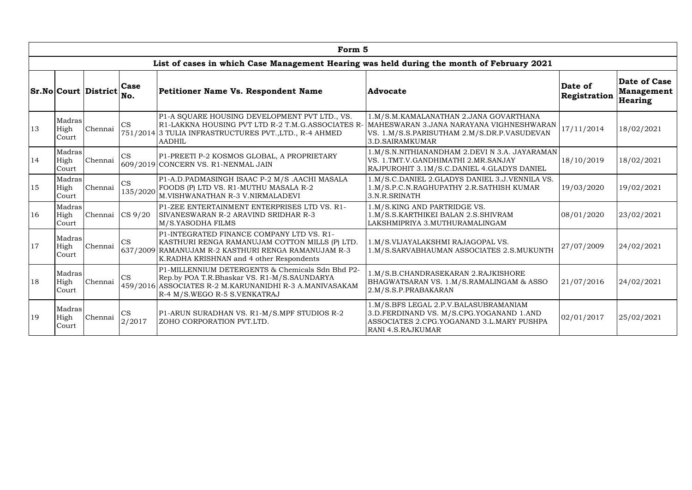|               | Form 5                  |                             |                                    |                                                                                                                                                                                                                         |                                                                                                                                                     |                         |                                              |  |  |  |  |  |
|---------------|-------------------------|-----------------------------|------------------------------------|-------------------------------------------------------------------------------------------------------------------------------------------------------------------------------------------------------------------------|-----------------------------------------------------------------------------------------------------------------------------------------------------|-------------------------|----------------------------------------------|--|--|--|--|--|
|               |                         |                             |                                    | List of cases in which Case Management Hearing was held during the month of February 2021                                                                                                                               |                                                                                                                                                     |                         |                                              |  |  |  |  |  |
|               |                         | <b>Sr.No Court District</b> | Case<br>No.                        | Petitioner Name Vs. Respondent Name                                                                                                                                                                                     | <b>Advocate</b>                                                                                                                                     | Date of<br>Registration | <b>Date of Case</b><br>Management<br>Hearing |  |  |  |  |  |
| <sup>13</sup> | Madras<br>High<br>Court | Chennai                     | $\overline{\text{CS}}$             | P1-A SQUARE HOUSING DEVELOPMENT PVT LTD., VS.<br>R1-LAKKNA HOUSING PVT LTD R-2 T.M.G.ASSOCIATES R-  MAHESWARAN 3.JANA NARAYANA VIGHNESHWARAN<br>751/2014 3 TULIA INFRASTRUCTURES PVT., LTD., R-4 AHMED<br><b>AADHIL</b> | 1.M/S.M.KAMALANATHAN 2.JANA GOVARTHANA<br>VS. 1.M/S.S.PARISUTHAM 2.M/S.DR.P.VASUDEVAN<br>3.D.SAIRAMKUMAR                                            | 17/11/2014              | 18/02/2021                                   |  |  |  |  |  |
| 14            | Madras<br>High<br>Court | Chennai                     | $\overline{\text{CS}}$             | P1-PREETI P-2 KOSMOS GLOBAL, A PROPRIETARY<br>609/2019 CONCERN VS. R1-NENMAL JAIN                                                                                                                                       | 1.M/S.N.NITHIANANDHAM 2.DEVI N 3.A. JAYARAMAN<br>VS. 1.TMT.V.GANDHIMATHI 2.MR.SANJAY<br>RAJPUROHIT 3.1M/S.C.DANIEL 4.GLADYS DANIEL                  | 18/10/2019              | 18/02/2021                                   |  |  |  |  |  |
| <sup>15</sup> | Madras<br>High<br>Court | Chennai                     | $\overline{\text{CS}}$<br>135/2020 | P1-A.D.PADMASINGH ISAAC P-2 M/S .AACHI MASALA<br>FOODS (P) LTD VS. R1-MUTHU MASALA R-2<br>M.VISHWANATHAN R-3 V.NIRMALADEVI                                                                                              | 1.M/S.C.DANIEL 2.GLADYS DANIEL 3.J.VENNILA VS.<br>1.M/S.P.C.N.RAGHUPATHY 2.R.SATHISH KUMAR<br>3.N.R.SRINATH                                         | 19/03/2020              | 19/02/2021                                   |  |  |  |  |  |
| <sup>16</sup> | Madras<br>High<br>Court | Chennai                     | CS 9/20                            | P1-ZEE ENTERTAINMENT ENTERPRISES LTD VS. R1-<br>SIVANESWARAN R-2 ARAVIND SRIDHAR R-3<br>M/S.YASODHA FILMS                                                                                                               | 1.M/S.KING AND PARTRIDGE VS.<br>1.M/S.S.KARTHIKEI BALAN 2.S.SHIVRAM<br>LAKSHMIPRIYA 3. MUTHURAMALINGAM                                              | 08/01/2020              | 23/02/2021                                   |  |  |  |  |  |
| <sup>17</sup> | Madras<br>High<br>Court | Chennai                     | <b>CS</b>                          | P1-INTEGRATED FINANCE COMPANY LTD VS. R1-<br>KASTHURI RENGA RAMANUJAM COTTON MILLS (P) LTD.<br>637/2009 RAMANUJAM R-2 KASTHURI RENGA RAMANUJAM R-3<br>K.RADHA KRISHNAN and 4 other Respondents                          | 1.M/S.VIJAYALAKSHMI RAJAGOPAL VS.<br>1.M/S.SARVABHAUMAN ASSOCIATES 2.S.MUKUNTH                                                                      | 27/07/2009              | 24/02/2021                                   |  |  |  |  |  |
| 18            | Madras<br>High<br>Court | Chennai                     | $\overline{\text{CS}}$             | P1-MILLENNIUM DETERGENTS & Chemicals Sdn Bhd P2-<br>Rep.by POA T.R.Bhaskar VS. R1-M/S.SAUNDARYA<br>459/2016 ASSOCIATES R-2 M.KARUNANIDHI R-3 A.MANIVASAKAM<br>R-4 M/S.WEGO R-5 S.VENKATRAJ                              | 1.M/S.B.CHANDRASEKARAN 2.RAJKISHORE<br>BHAGWATSARAN VS. 1.M/S.RAMALINGAM & ASSO<br>2.M/S.S.P.PRABAKARAN                                             | 21/07/2016              | 24/02/2021                                   |  |  |  |  |  |
| <sup>19</sup> | Madras<br>High<br>Court | Chennai                     | $\overline{\text{CS}}$<br>2/2017   | P1-ARUN SURADHAN VS. R1-M/S.MPF STUDIOS R-2<br>ZOHO CORPORATION PVT.LTD.                                                                                                                                                | 1.M/S.BFS LEGAL 2.P.V.BALASUBRAMANIAM<br>3.D.FERDINAND VS. M/S.CPG.YOGANAND 1.AND<br>ASSOCIATES 2.CPG.YOGANAND 3.L.MARY PUSHPA<br>RANI 4.S.RAJKUMAR | 02/01/2017              | 25/02/2021                                   |  |  |  |  |  |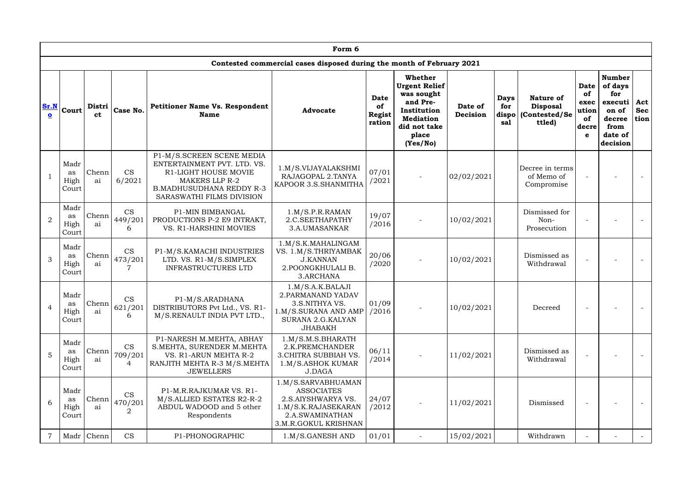|                   |                             |              |                           |                                                                                                                                                                           | Form 6                                                                                                                           |                                              |                                                                                                                                          |                     |                                    |                                                                |                                                        |                                                                                              |                           |
|-------------------|-----------------------------|--------------|---------------------------|---------------------------------------------------------------------------------------------------------------------------------------------------------------------------|----------------------------------------------------------------------------------------------------------------------------------|----------------------------------------------|------------------------------------------------------------------------------------------------------------------------------------------|---------------------|------------------------------------|----------------------------------------------------------------|--------------------------------------------------------|----------------------------------------------------------------------------------------------|---------------------------|
|                   |                             |              |                           |                                                                                                                                                                           | Contested commercial cases disposed during the month of February 2021                                                            |                                              |                                                                                                                                          |                     |                                    |                                                                |                                                        |                                                                                              |                           |
| Sr.N<br>$\bullet$ | Court                       | Distri<br>ct | Case No.                  | <b>Petitioner Name Vs. Respondent</b><br><b>Name</b>                                                                                                                      | <b>Advocate</b>                                                                                                                  | <b>Date</b><br>of<br><b>Regist</b><br>ration | <b>Whether</b><br><b>Urgent Relief</b><br>was sought<br>and Pre-<br>Institution<br><b>Mediation</b><br>did not take<br>place<br>(Yes/No) | Date of<br>Decision | <b>Days</b><br>for<br>dispo<br>sal | <b>Nature of</b><br><b>Disposal</b><br>(Contested/Se<br>ttled) | <b>Date</b><br>of<br>exec<br>ution<br>of<br>decre<br>e | <b>Number</b><br>of days<br>for<br>executi<br>on of<br>decree<br>from<br>date of<br>decision | Act<br><b>Sec</b><br>tion |
|                   | Madr<br>as<br>High<br>Court | Chenn<br>ai  | <b>CS</b><br>6/2021       | P1-M/S.SCREEN SCENE MEDIA<br>ENTERTAINMENT PVT. LTD. VS.<br>R1-LIGHT HOUSE MOVIE<br><b>MAKERS LLP R-2</b><br><b>B.MADHUSUDHANA REDDY R-3</b><br>SARASWATHI FILMS DIVISION | 1.M/S.VIJAYALAKSHMI<br>RAJAGOPAL 2.TANYA<br>KAPOOR 3.S.SHANMITHA                                                                 | 07/01<br>/2021                               |                                                                                                                                          | 02/02/2021          |                                    | Decree in terms<br>of Memo of<br>Compromise                    |                                                        |                                                                                              |                           |
| $\overline{2}$    | Madr<br>as<br>High<br>Court | Chenn<br>ai  | <b>CS</b><br>449/201<br>6 | P1-MIN BIMBANGAL<br>PRODUCTIONS P-2 E9 INTRAKT,<br>VS. R1-HARSHINI MOVIES                                                                                                 | 1.M/S.P.R.RAMAN<br>2.C.SEETHAPATHY<br>3.A.UMASANKAR                                                                              | 19/07<br>/2016                               |                                                                                                                                          | 10/02/2021          |                                    | Dismissed for<br>Non-<br>Prosecution                           |                                                        |                                                                                              |                           |
| 3                 | Madr<br>as<br>High<br>Court | Chenn<br>ai  | <b>CS</b><br>473/201      | P1-M/S.KAMACHI INDUSTRIES<br>LTD. VS. R1-M/S.SIMPLEX<br><b>INFRASTRUCTURES LTD</b>                                                                                        | 1.M/S.K.MAHALINGAM<br>VS. 1.M/S.THRIYAMBAK<br><b>J.KANNAN</b><br>2. POONGKHULALI B.<br>3.ARCHANA                                 | 20/06<br>/2020                               |                                                                                                                                          | 10/02/2021          |                                    | Dismissed as<br>Withdrawal                                     |                                                        |                                                                                              |                           |
| $\overline{4}$    | Madr<br>as<br>High<br>Court | Chenn<br>ai  | <b>CS</b><br>621/201<br>6 | P1-M/S.ARADHANA<br>DISTRIBUTORS Pvt Ltd., VS. R1-<br>M/S.RENAULT INDIA PVT LTD.,                                                                                          | 1.M/S.A.K.BALAJI<br>2. PARMANAND YADAV<br>3.S.NITHYA VS.<br>1.M/S.SURANA AND AMP<br>SURANA 2.G.KALYAN<br><b>JHABAKH</b>          | 01/09<br>/2016                               |                                                                                                                                          | 10/02/2021          |                                    | Decreed                                                        |                                                        |                                                                                              |                           |
| 5                 | Madr<br>as<br>High<br>Court | Chenn<br>ai  | <b>CS</b><br>709/201      | P1-NARESH M.MEHTA, ABHAY<br>S.MEHTA, SURENDER M.MEHTA<br>VS. R1-ARUN MEHTA R-2<br>RANJITH MEHTA R-3 M/S.MEHTA<br><b>JEWELLERS</b>                                         | 1.M/S.M.S.BHARATH<br>2.K.PREMCHANDER<br><b>3. CHITRA SUBBIAH VS.</b><br>1.M/S.ASHOK KUMAR<br>J.DAGA                              | 06/11<br>/2014                               |                                                                                                                                          | 11/02/2021          |                                    | Dismissed as<br>Withdrawal                                     |                                                        |                                                                                              |                           |
| 6                 | Madr<br>as<br>High<br>Court | Chenn<br>ai  | <b>CS</b><br>470/201      | P1-M.R.RAJKUMAR VS. R1-<br>M/S.ALLIED ESTATES R2-R-2<br>ABDUL WADOOD and 5 other<br>Respondents                                                                           | 1.M/S.SARVABHUAMAN<br><b>ASSOCIATES</b><br>2.S. AIYSHWARYA VS.<br>1.M/S.K.RAJASEKARAN<br>2.A.SWAMINATHAN<br>3.M.R.GOKUL KRISHNAN | 24/07<br>/2012                               |                                                                                                                                          | 11/02/2021          |                                    | Dismissed                                                      |                                                        |                                                                                              |                           |
| 7                 | Madr                        | Chenn        | CS                        | P1-PHONOGRAPHIC                                                                                                                                                           | 1.M/S.GANESH AND                                                                                                                 | 01/01                                        |                                                                                                                                          | 15/02/2021          |                                    | Withdrawn                                                      |                                                        |                                                                                              |                           |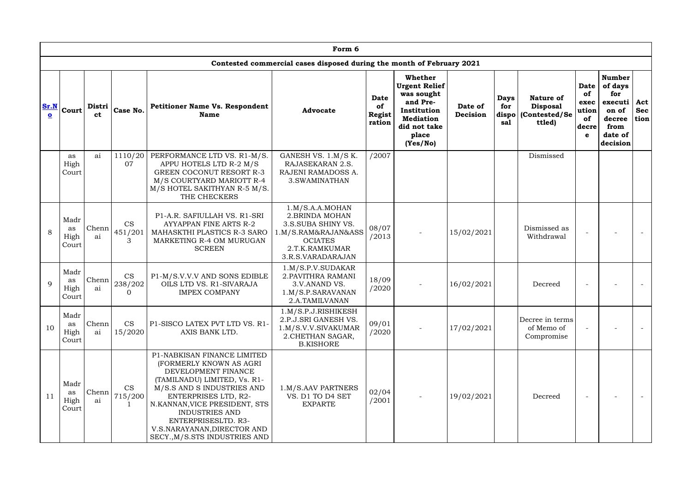|                                 | Form 6                      |              |                           |                                                                                                                                                                                                                                                                                                                             |                                                                                                                                         |                                              |                                                                                                                                          |                     |                                    |                                                                |                                                 |                                                                                              |                           |
|---------------------------------|-----------------------------|--------------|---------------------------|-----------------------------------------------------------------------------------------------------------------------------------------------------------------------------------------------------------------------------------------------------------------------------------------------------------------------------|-----------------------------------------------------------------------------------------------------------------------------------------|----------------------------------------------|------------------------------------------------------------------------------------------------------------------------------------------|---------------------|------------------------------------|----------------------------------------------------------------|-------------------------------------------------|----------------------------------------------------------------------------------------------|---------------------------|
|                                 |                             |              |                           |                                                                                                                                                                                                                                                                                                                             | Contested commercial cases disposed during the month of February 2021                                                                   |                                              |                                                                                                                                          |                     |                                    |                                                                |                                                 |                                                                                              |                           |
| Sr.N<br>$\overline{\mathbf{o}}$ | Court                       | Distri<br>ct | Case No.                  | <b>Petitioner Name Vs. Respondent</b><br><b>Name</b>                                                                                                                                                                                                                                                                        | <b>Advocate</b>                                                                                                                         | <b>Date</b><br>of<br><b>Regist</b><br>ration | <b>Whether</b><br><b>Urgent Relief</b><br>was sought<br>and Pre-<br>Institution<br><b>Mediation</b><br>did not take<br>place<br>(Yes/No) | Date of<br>Decision | <b>Days</b><br>for<br>dispo<br>sal | <b>Nature of</b><br><b>Disposal</b><br>(Contested/Se<br>ttled) | Date<br>of<br>exec<br>ution<br>of<br>decre<br>e | <b>Number</b><br>of days<br>for<br>executi<br>on of<br>decree<br>from<br>date of<br>decision | Act<br><b>Sec</b><br>tion |
|                                 | as<br>High<br>Court         | ai           | 1110/20<br>07             | PERFORMANCE LTD VS. R1-M/S.<br>APPU HOTELS LTD R-2 M/S<br><b>GREEN COCONUT RESORT R-3</b><br>M/S COURTYARD MARIOTT R-4<br>M/S HOTEL SAKITHYAN R-5 M/S.<br>THE CHECKERS                                                                                                                                                      | GANESH VS. 1.M/S K.<br>RAJASEKARAN 2.S.<br>RAJENI RAMADOSS A.<br>3. SWAMINATHAN                                                         | /2007                                        |                                                                                                                                          |                     |                                    | Dismissed                                                      |                                                 |                                                                                              |                           |
| 8                               | Madr<br>as<br>High<br>Court | Chenn<br>ai  | <b>CS</b><br>451/201<br>З | P1-A.R. SAFIULLAH VS. R1-SRI<br><b>AYYAPPAN FINE ARTS R-2</b><br>MAHASKTHI PLASTICS R-3 SARO<br>MARKETING R-4 OM MURUGAN<br><b>SCREEN</b>                                                                                                                                                                                   | 1.M/S.A.A.MOHAN<br>2. BRINDA MOHAN<br>3.S.SUBA SHINY VS.<br>.M/S.RAM&RAJAN&ASS<br><b>OCIATES</b><br>2.T.K.RAMKUMAR<br>3.R.S.VARADARAJAN | 08/07<br>/2013                               |                                                                                                                                          | 15/02/2021          |                                    | Dismissed as<br>Withdrawal                                     |                                                 |                                                                                              |                           |
| 9                               | Madr<br>as<br>High<br>Court | Chenn<br>ai  | <b>CS</b><br>238/202      | P1-M/S.V.V.V AND SONS EDIBLE<br>OILS LTD VS. R1-SIVARAJA<br><b>IMPEX COMPANY</b>                                                                                                                                                                                                                                            | 1.M/S.P.V.SUDAKAR<br>2. PAVITHRA RAMANI<br>3.V.ANAND VS.<br>1.M/S.P.SARAVANAN<br>2.A.TAMILVANAN                                         | 18/09<br>/2020                               |                                                                                                                                          | 16/02/2021          |                                    | Decreed                                                        |                                                 |                                                                                              |                           |
| 10                              | Madr<br>as<br>High<br>Court | Chenn<br>ai  | <b>CS</b><br>15/2020      | P1-SISCO LATEX PVT LTD VS. R1-<br>AXIS BANK LTD.                                                                                                                                                                                                                                                                            | 1.M/S.P.J.RISHIKESH<br>2.P.J.SRI GANESH VS.<br>1.M/S.V.V.SIVAKUMAR<br>2. CHETHAN SAGAR,<br><b>B.KISHORE</b>                             | 09/01<br>/2020                               |                                                                                                                                          | 17/02/2021          |                                    | Decree in terms<br>of Memo of<br>Compromise                    |                                                 |                                                                                              |                           |
| 11                              | Madr<br>as<br>High<br>Court | Chenn<br>ai  | <b>CS</b><br>715/200      | P1-NABKISAN FINANCE LIMITED<br>(FORMERLY KNOWN AS AGRI<br>DEVELOPMENT FINANCE<br>(TAMILNADU) LIMITED, Vs. R1-<br>M/S.S AND S INDUSTRIES AND<br><b>ENTERPRISES LTD, R2-</b><br>N.KANNAN, VICE PRESIDENT, STS<br><b>INDUSTRIES AND</b><br>ENTERPRISESLTD. R3-<br>V.S.NARAYANAN, DIRECTOR AND<br>SECY., M/S.STS INDUSTRIES AND | 1.M/S.AAV PARTNERS<br>VS. D1 TO D4 SET<br><b>EXPARTE</b>                                                                                | 02/04<br>/2001                               |                                                                                                                                          | 19/02/2021          |                                    | Decreed                                                        |                                                 |                                                                                              |                           |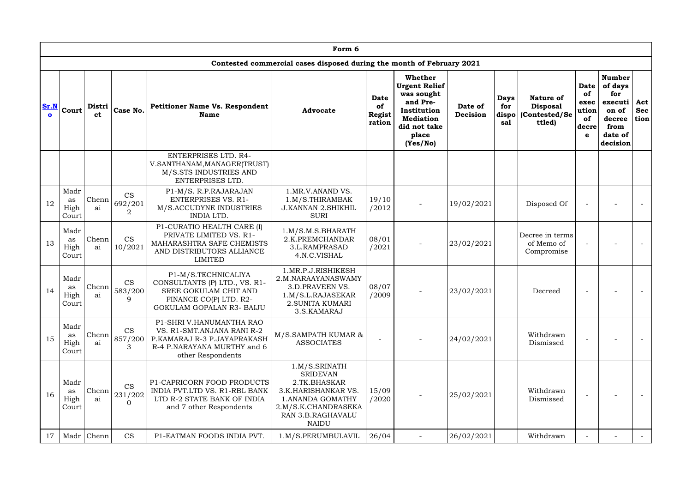|                                 | Form 6                      |              |                           |                                                                                                                                             |                                                                                                                                                          |                                                     |                                                                                                                                   |                     |                                    |                                                                |                                                        |                                                                                              |                           |
|---------------------------------|-----------------------------|--------------|---------------------------|---------------------------------------------------------------------------------------------------------------------------------------------|----------------------------------------------------------------------------------------------------------------------------------------------------------|-----------------------------------------------------|-----------------------------------------------------------------------------------------------------------------------------------|---------------------|------------------------------------|----------------------------------------------------------------|--------------------------------------------------------|----------------------------------------------------------------------------------------------|---------------------------|
|                                 |                             |              |                           |                                                                                                                                             | Contested commercial cases disposed during the month of February 2021                                                                                    |                                                     |                                                                                                                                   |                     |                                    |                                                                |                                                        |                                                                                              |                           |
| Sr.N<br>$\overline{\mathbf{o}}$ | Court                       | Distri<br>ct | Case No.                  | Petitioner Name Vs. Respondent<br><b>Name</b>                                                                                               | <b>Advocate</b>                                                                                                                                          | <b>Date</b><br><b>of</b><br><b>Regist</b><br>ration | Whether<br><b>Urgent Relief</b><br>was sought<br>and Pre-<br>Institution<br><b>Mediation</b><br>did not take<br>place<br>(Yes/No) | Date of<br>Decision | <b>Days</b><br>for<br>dispo<br>sal | <b>Nature of</b><br><b>Disposal</b><br>(Contested/Se<br>ttled) | <b>Date</b><br>of<br>exec<br>ution<br>of<br>decre<br>e | <b>Number</b><br>of days<br>for<br>executi<br>on of<br>decree<br>from<br>date of<br>decision | Act<br><b>Sec</b><br>tion |
|                                 |                             |              |                           | <b>ENTERPRISES LTD. R4-</b><br>V.SANTHANAM, MANAGER (TRUST)<br>M/S.STS INDUSTRIES AND<br>ENTERPRISES LTD.                                   |                                                                                                                                                          |                                                     |                                                                                                                                   |                     |                                    |                                                                |                                                        |                                                                                              |                           |
| 12                              | Madr<br>as<br>High<br>Court | Chenn<br>ai  | <b>CS</b><br>692/201<br>2 | P1-M/S. R.P.RAJARAJAN<br><b>ENTERPRISES VS. R1-</b><br>M/S.ACCUDYNE INDUSTRIES<br><b>INDIA LTD.</b>                                         | 1.MR.V.ANAND VS.<br>1.M/S.THIRAMBAK<br><b>J.KANNAN 2.SHIKHIL</b><br><b>SURI</b>                                                                          | 19/10<br>/2012                                      |                                                                                                                                   | 19/02/2021          |                                    | Disposed Of                                                    |                                                        |                                                                                              |                           |
| 13                              | Madr<br>as<br>High<br>Court | Chenn<br>ai  | <b>CS</b><br>10/2021      | P1-CURATIO HEALTH CARE (I)<br>PRIVATE LIMITED VS. R1-<br>MAHARASHTRA SAFE CHEMISTS<br>AND DISTRIBUTORS ALLIANCE<br><b>LIMITED</b>           | 1.M/S.M.S.BHARATH<br>2.K.PREMCHANDAR<br>3.L.RAMPRASAD<br>4.N.C.VISHAL                                                                                    | 08/01<br>/2021                                      |                                                                                                                                   | 23/02/2021          |                                    | Decree in terms<br>of Memo of<br>Compromise                    |                                                        |                                                                                              |                           |
| 14                              | Madr<br>as<br>High<br>Court | Chenn<br>ai  | <b>CS</b><br>583/200<br>Q | P1-M/S.TECHNICALIYA<br>CONSULTANTS (P) LTD., VS. R1-<br>SREE GOKULAM CHIT AND<br>FINANCE CO(P) LTD. R2-<br><b>GOKULAM GOPALAN R3- BAIJU</b> | 1.MR.P.J.RISHIKESH<br>2.M.NARAAYANASWAMY<br>3.D.PRAVEEN VS.<br>1.M/S.L.RAJASEKAR<br>2. SUNITA KUMARI<br>3.S.KAMARAJ                                      | 08/07<br>/2009                                      |                                                                                                                                   | 23/02/2021          |                                    | Decreed                                                        |                                                        |                                                                                              |                           |
| 15                              | Madr<br>as<br>High<br>Court | Chenn<br>ai  | <b>CS</b><br>857/200      | P1-SHRI V.HANUMANTHA RAO<br>VS. R1-SMT.ANJANA RANI R-2<br>P.KAMARAJ R-3 P.JAYAPRAKASH<br>R-4 P.NARAYANA MURTHY and 6<br>other Respondents   | M/S.SAMPATH KUMAR &<br><b>ASSOCIATES</b>                                                                                                                 |                                                     |                                                                                                                                   | 24/02/2021          |                                    | Withdrawn<br>Dismissed                                         |                                                        |                                                                                              |                           |
| 16                              | Madr<br>as<br>High<br>Court | Chenn<br>ai  | <b>CS</b><br>231/202      | P1-CAPRICORN FOOD PRODUCTS<br>INDIA PVT.LTD VS. R1-RBL BANK<br>LTD R-2 STATE BANK OF INDIA<br>and 7 other Respondents                       | 1.M/S.SRINATH<br><b>SRIDEVAN</b><br>2.TK.BHASKAR<br>3.K.HARISHANKAR VS.<br>1. ANANDA GOMATHY<br>2.M/S.K.CHANDRASEKA<br>RAN 3.B.RAGHAVALU<br><b>NAIDU</b> | 15/09<br>/2020                                      |                                                                                                                                   | 25/02/2021          |                                    | Withdrawn<br>Dismissed                                         |                                                        | $\overline{\phantom{a}}$                                                                     |                           |
| 17                              |                             | Madr Chenn   | <b>CS</b>                 | P1-EATMAN FOODS INDIA PVT.                                                                                                                  | 1.M/S.PERUMBULAVIL                                                                                                                                       | 26/04                                               |                                                                                                                                   | 26/02/2021          |                                    | Withdrawn                                                      |                                                        |                                                                                              |                           |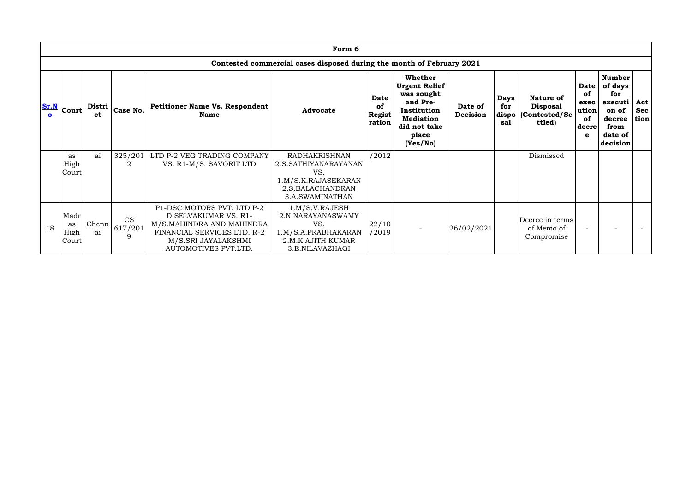|                                 |                             |              |               |                                                                                                                                                               | Form 6                                                                                                            |                                |                                                                                                                                   |                     |                           |                                                                 |                                                         |                                                                                              |                           |
|---------------------------------|-----------------------------|--------------|---------------|---------------------------------------------------------------------------------------------------------------------------------------------------------------|-------------------------------------------------------------------------------------------------------------------|--------------------------------|-----------------------------------------------------------------------------------------------------------------------------------|---------------------|---------------------------|-----------------------------------------------------------------|---------------------------------------------------------|----------------------------------------------------------------------------------------------|---------------------------|
|                                 |                             |              |               |                                                                                                                                                               | Contested commercial cases disposed during the month of February 2021                                             |                                |                                                                                                                                   |                     |                           |                                                                 |                                                         |                                                                                              |                           |
| Sr.N<br>$\overline{\mathbf{o}}$ | <b>Court</b>                | Distri<br>ct | Case No.      | <b>Petitioner Name Vs. Respondent</b><br><b>Name</b>                                                                                                          | <b>Advocate</b>                                                                                                   | Date<br>0f<br>Regist<br>ration | Whether<br><b>Urgent Relief</b><br>was sought<br>and Pre-<br>Institution<br><b>Mediation</b><br>did not take<br>place<br>(Yes/No) | Date of<br>Decision | <b>Days</b><br>for<br>sal | Nature of<br><b>Disposal</b><br>dispo   (Contested/Se<br>ttled) | Date<br>of<br>exec<br>ution<br><b>of</b><br> decre<br>e | <b>Number</b><br>of days<br>for<br>executi<br>on of<br>decree<br>from<br>date of<br>decision | Act<br><b>Sec</b><br>tion |
|                                 | as<br>High<br>Court         | ai           | 325/201<br>2  | LTD P-2 VEG TRADING COMPANY<br>VS. R1-M/S. SAVORIT LTD                                                                                                        | <b>RADHAKRISHNAN</b><br>2.S.SATHIYANARAYANAN<br>VS.<br>1.M/S.K.RAJASEKARAN<br>2.S.BALACHANDRAN<br>3.A.SWAMINATHAN | /2012                          |                                                                                                                                   |                     |                           | Dismissed                                                       |                                                         |                                                                                              |                           |
| 18                              | Madr<br>as<br>High<br>Court | Chenn<br>ai  | CS<br>617/201 | P1-DSC MOTORS PVT. LTD P-2<br>D.SELVAKUMAR VS. R1-<br>M/S.MAHINDRA AND MAHINDRA<br>FINANCIAL SERVICES LTD. R-2<br>M/S.SRI JAYALAKSHMI<br>AUTOMOTIVES PVT.LTD. | 1.M/S.V.RAJESH<br>2.N.NARAYANASWAMY<br>VS.<br>1.M/S.A.PRABHAKARAN<br>2.M.K.AJITH KUMAR<br>3.E.NILAVAZHAGI         | 22/10<br>/2019                 |                                                                                                                                   | 26/02/2021          |                           | Decree in terms<br>of Memo of<br>Compromise                     |                                                         |                                                                                              |                           |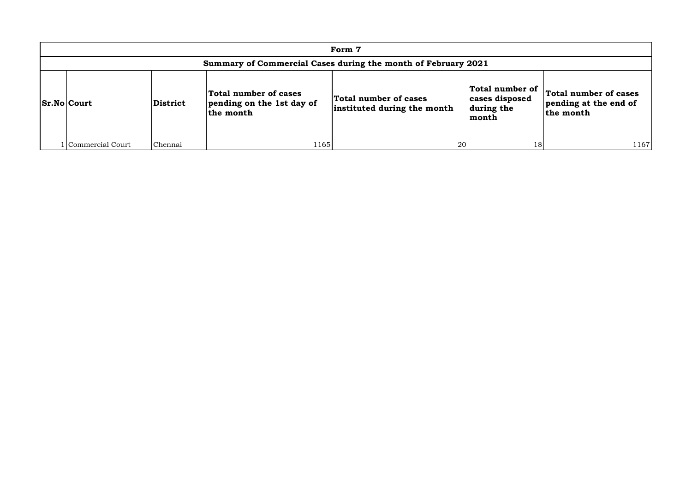| Form 7             |                 |                                                                 |                                                               |                                                           |                                                             |  |  |  |  |  |  |  |  |
|--------------------|-----------------|-----------------------------------------------------------------|---------------------------------------------------------------|-----------------------------------------------------------|-------------------------------------------------------------|--|--|--|--|--|--|--|--|
|                    |                 |                                                                 | Summary of Commercial Cases during the month of February 2021 |                                                           |                                                             |  |  |  |  |  |  |  |  |
| <b>Sr.No Court</b> | <b>District</b> | Total number of cases<br>pending on the 1st day of<br>the month | Total number of cases<br>instituted during the month          | Total number of<br>cases disposed<br>during the<br> month | Total number of cases<br>pending at the end of<br>the month |  |  |  |  |  |  |  |  |
| l Commercial Court | Chennai         | 1165                                                            | 20                                                            | 18                                                        | 1167                                                        |  |  |  |  |  |  |  |  |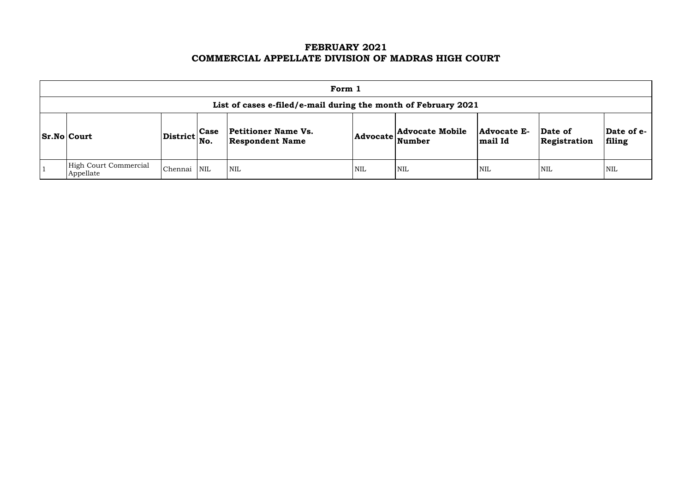## **FEBRUARY 2021 COMMERCIAL APPELLATE DIVISION OF MADRAS HIGH COURT**

|                                                                                                                                                                                                                                            | Form 1                                                         |         |     |                           |            |            |            |            |                      |  |  |  |  |
|--------------------------------------------------------------------------------------------------------------------------------------------------------------------------------------------------------------------------------------------|----------------------------------------------------------------|---------|-----|---------------------------|------------|------------|------------|------------|----------------------|--|--|--|--|
|                                                                                                                                                                                                                                            | List of cases e-filed/e-mail during the month of February 2021 |         |     |                           |            |            |            |            |                      |  |  |  |  |
| <b>Advocate Mobile</b><br>Date of<br><b>Petitioner Name Vs.</b><br>Advocate E-<br><b>Case</b><br>$ {\rm District} {\rm \Big }$ No.<br><b>Sr.No Court</b><br><b>Advocate</b><br>Number<br>mail Id<br>Registration<br><b>Respondent Name</b> |                                                                |         |     |                           |            |            |            |            | Date of e-<br>filing |  |  |  |  |
|                                                                                                                                                                                                                                            | High Court Commercial<br>Appellate                             | Chennai | NIL | $\mathsf{I}_{\text{NIL}}$ | <b>NIL</b> | <b>NIL</b> | <b>NIL</b> | <b>NIL</b> | <b>NIL</b>           |  |  |  |  |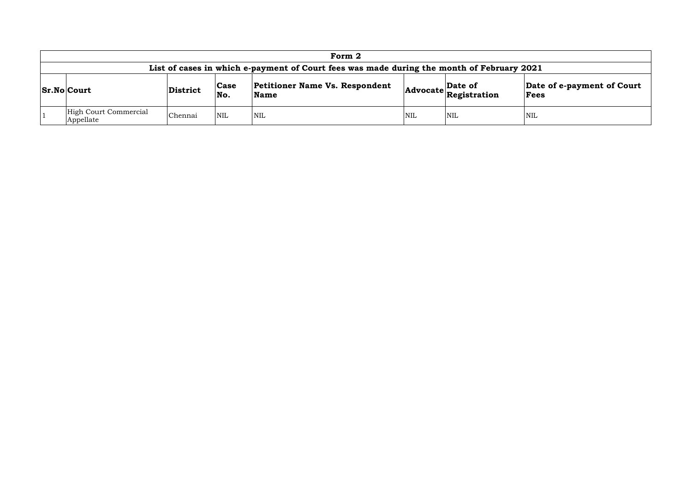|                                                                                                                                                                                                                  | Form 2                                                                                    |         |                         |            |            |            |            |  |  |  |  |  |  |
|------------------------------------------------------------------------------------------------------------------------------------------------------------------------------------------------------------------|-------------------------------------------------------------------------------------------|---------|-------------------------|------------|------------|------------|------------|--|--|--|--|--|--|
|                                                                                                                                                                                                                  | List of cases in which e-payment of Court fees was made during the month of February 2021 |         |                         |            |            |            |            |  |  |  |  |  |  |
| <b>Petitioner Name Vs. Respondent</b><br>Date of e-payment of Court<br>Date of<br> Case<br><b>Sr.No Court</b><br>District<br>$ \textbf{Advocate} \textbf{{}_{Registration}^{--}} $<br>No.<br><b>Name</b><br>Fees |                                                                                           |         |                         |            |            |            |            |  |  |  |  |  |  |
|                                                                                                                                                                                                                  | High Court Commercial<br>Appellate                                                        | Chennai | $\overline{\text{NNL}}$ | <b>NIL</b> | <b>NIL</b> | <b>NIL</b> | <b>NIL</b> |  |  |  |  |  |  |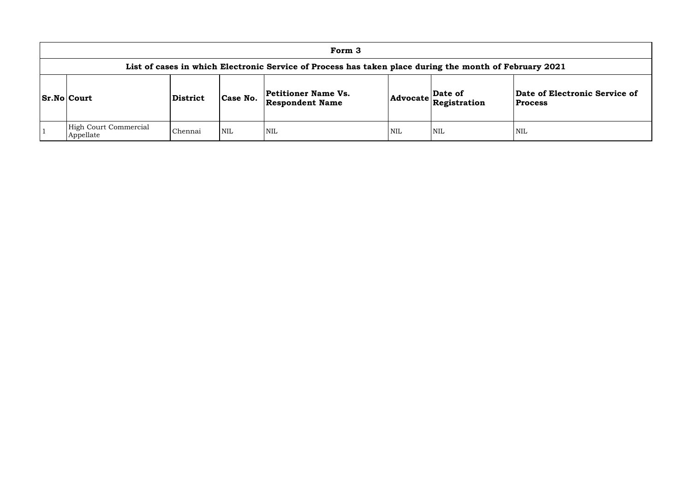| Form 3                                                                                         |                 |            |                                                      |     |                                                           |            |  |  |  |  |  |  |  |  |
|------------------------------------------------------------------------------------------------|-----------------|------------|------------------------------------------------------|-----|-----------------------------------------------------------|------------|--|--|--|--|--|--|--|--|
| List of cases in which Electronic Service of Process has taken place during the month of Febru |                 |            |                                                      |     |                                                           |            |  |  |  |  |  |  |  |  |
| <b>Sr.No Court</b>                                                                             | <b>District</b> | Case No.   | <b>Petitioner Name Vs.</b><br><b>Respondent Name</b> |     | Date of<br>$ {\bf Advocate}\left \sum_{\bf Registration}$ | Da<br>Pro  |  |  |  |  |  |  |  |  |
| <b>High Court Commercial</b><br>Appellate                                                      | Chennai         | <b>NIL</b> | NIL                                                  | NIL | <b>NIL</b>                                                | <b>NIL</b> |  |  |  |  |  |  |  |  |

## **List of Cases uary 2021**

## **Date of Electronic Service of Process**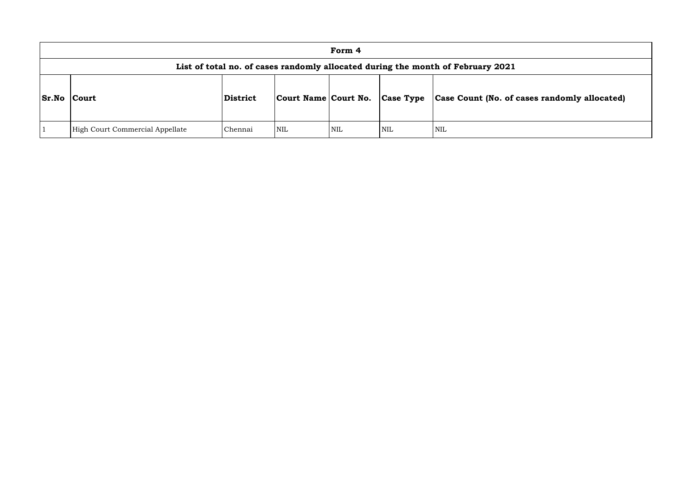|              |                                 | Form 4   |                      |     |                  |                                                                                 |  |  |  |  |
|--------------|---------------------------------|----------|----------------------|-----|------------------|---------------------------------------------------------------------------------|--|--|--|--|
|              |                                 |          |                      |     |                  | List of total no. of cases randomly allocated during the month of February 2021 |  |  |  |  |
| <b>Sr.No</b> | <b>Court</b>                    | District | Court Name Court No. |     | <b>Case Type</b> | <b>Case Count (No. of can</b>                                                   |  |  |  |  |
|              | High Court Commercial Appellate | Chennai  | NIL                  | NIL | <b>NIL</b>       | <b>NIL</b>                                                                      |  |  |  |  |

## **Sr.No Court District Court Name Court No. Case Type Case Count (No. of cases randomly allocated)**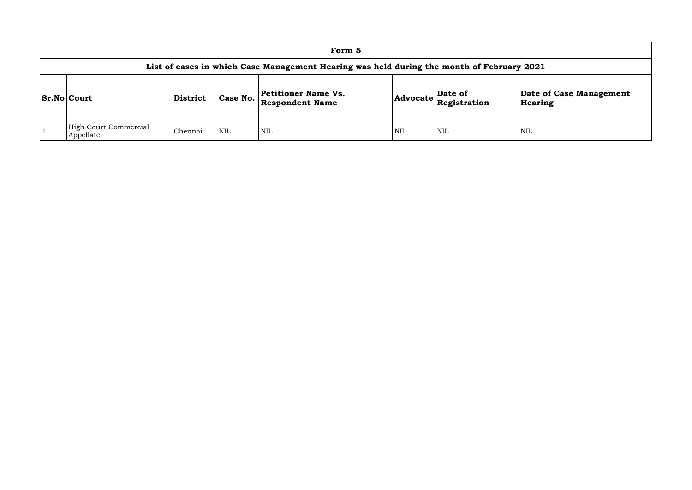| Form 5                                                                                    |                 |            |                                                      |            |                                                                             |                         |  |  |  |  |  |  |  |
|-------------------------------------------------------------------------------------------|-----------------|------------|------------------------------------------------------|------------|-----------------------------------------------------------------------------|-------------------------|--|--|--|--|--|--|--|
| List of cases in which Case Management Hearing was held during the month of February 2021 |                 |            |                                                      |            |                                                                             |                         |  |  |  |  |  |  |  |
| <b>Sr.No Court</b>                                                                        | <b>District</b> | Case No.   | <b>Petitioner Name Vs.</b><br><b>Respondent Name</b> |            | Date of<br>$ {\bf Advocate}\left \stackrel{\text{2.5.}}{\text{Res}}\right $ | Date o<br><b>Hearis</b> |  |  |  |  |  |  |  |
| High Court Commercial<br>Appellate                                                        | Chennai         | <b>NIL</b> | <b>NIL</b>                                           | <b>NIL</b> | <b>NIL</b>                                                                  | <b>NIL</b>              |  |  |  |  |  |  |  |

## **Date of Case Management Hearing**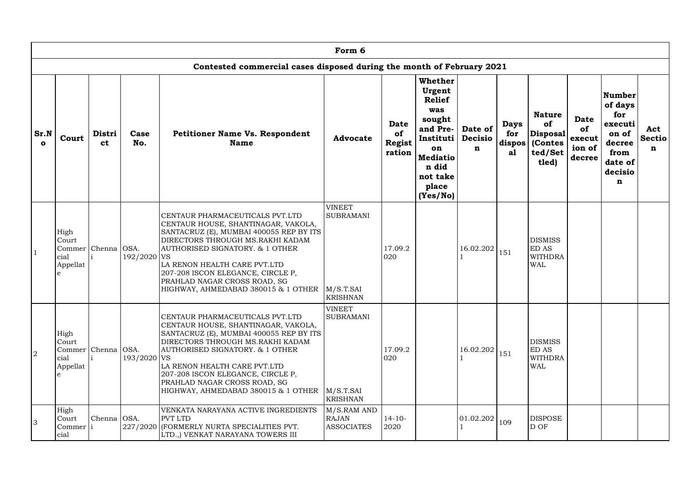|                      |                                                                |                     |               |                                                                                                                                                                                                                                                                                                                                      | Form 6                                                     |                                       |                                                                                                                                                                  |                                |                                    |                                                                          |                                                 |                                                                                           |                           |
|----------------------|----------------------------------------------------------------|---------------------|---------------|--------------------------------------------------------------------------------------------------------------------------------------------------------------------------------------------------------------------------------------------------------------------------------------------------------------------------------------|------------------------------------------------------------|---------------------------------------|------------------------------------------------------------------------------------------------------------------------------------------------------------------|--------------------------------|------------------------------------|--------------------------------------------------------------------------|-------------------------------------------------|-------------------------------------------------------------------------------------------|---------------------------|
|                      |                                                                |                     |               | Contested commercial cases disposed during the month of February 2021                                                                                                                                                                                                                                                                |                                                            |                                       |                                                                                                                                                                  |                                |                                    |                                                                          |                                                 |                                                                                           |                           |
| Sr.N<br>$\mathbf{o}$ | Court                                                          | Distri<br><b>ct</b> | Case<br>No.   | <b>Petitioner Name Vs. Respondent</b><br><b>Name</b>                                                                                                                                                                                                                                                                                 | <b>Advocate</b>                                            | <b>Date</b><br>of<br>Regist<br>ration | <b>Whether</b><br>Urgent<br><b>Relief</b><br>was<br>sought<br>and Pre- $\vert$<br>Instituti  <br>on<br><b>Mediatio</b><br>n did<br>not take<br>place<br>(Yes/No) | Date of<br><b>Decisio</b><br>n | <b>Days</b><br>for<br>dispos<br>a1 | <b>Nature</b><br>of<br>$ {\bf Disposal} $<br>(Contes<br>ted/Set<br>tled) | <b>Date</b><br>of<br>execut<br>ion of<br>decree | Number<br>of days<br>for<br>executi<br>on of<br>decree<br>from<br>date of<br>decisio<br>n | Act<br><b>Sectio</b><br>n |
|                      | High<br>Court<br>Commer Chenna OSA.<br>cial<br>Appellat        |                     | $192/2020$ VS | CENTAUR PHARMACEUTICALS PVT.LTD<br>CENTAUR HOUSE, SHANTINAGAR, VAKOLA,<br>SANTACRUZ (E), MUMBAI 400055 REP BY ITS<br>DIRECTORS THROUGH MS.RAKHI KADAM<br>AUTHORISED SIGNATORY. & 1 OTHER<br>LA RENON HEALTH CARE PVT.LTD<br>207-208 ISCON ELEGANCE, CIRCLE P,<br>PRAHLAD NAGAR CROSS ROAD, SG<br>HIGHWAY, AHMEDABAD 380015 & 1 OTHER | <b>VINEET</b><br><b>SUBRAMANI</b><br>M/S.T.SAI<br>KRISHNAN | 17.09.2<br>020                        |                                                                                                                                                                  | 16.02.202                      | 151                                | <b>DISMISS</b><br><b>ED AS</b><br><b>WITHDRA</b><br><b>WAL</b>           |                                                 |                                                                                           |                           |
| $\overline{2}$       | High<br>Court<br>Commer Chenna   OSA.<br>cial<br>Appellat<br>e |                     | 193/2020 VS   | CENTAUR PHARMACEUTICALS PVT.LTD<br>CENTAUR HOUSE, SHANTINAGAR, VAKOLA,<br>SANTACRUZ (E), MUMBAI 400055 REP BY ITS<br>DIRECTORS THROUGH MS.RAKHI KADAM<br>AUTHORISED SIGNATORY. & 1 OTHER<br>LA RENON HEALTH CARE PVT.LTD<br>207-208 ISCON ELEGANCE, CIRCLE P,<br>PRAHLAD NAGAR CROSS ROAD, SG<br>HIGHWAY, AHMEDABAD 380015 & 1 OTHER | <b>VINEET</b><br><b>SUBRAMANI</b><br>M/S.T.SAI<br>KRISHNAN | 17.09.2<br>020                        |                                                                                                                                                                  | 16.02.202                      | 151                                | <b>DISMISS</b><br><b>ED AS</b><br>WITHDRA<br><b>WAL</b>                  |                                                 |                                                                                           |                           |
| 3                    | High<br>Court<br>Commer i<br>cial                              | Chenna OSA.         |               | VENKATA NARAYANA ACTIVE INGREDIENTS<br><b>PVT LTD</b><br>227/2020 (FORMERLY NURTA SPECIALITIES PVT.<br>LTD.,) VENKAT NARAYANA TOWERS III                                                                                                                                                                                             | M/S.RAM AND<br><b>RAJAN</b><br><b>ASSOCIATES</b>           | $14-10-$<br>2020                      |                                                                                                                                                                  | 01.02.202                      | 109                                | <b>DISPOSE</b><br>D OF                                                   |                                                 |                                                                                           |                           |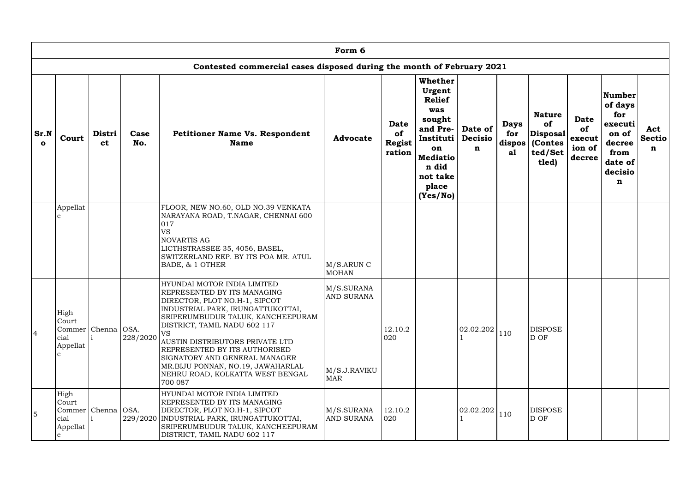|                      |                                                           |              |             |                                                                                                                                                                                                                                                                                                                                                                                                             | Form 6                                          |                                       |                                                                                                                                                                  |                                   |                                     |                                                                                |                                                 |                                                                                           |                           |
|----------------------|-----------------------------------------------------------|--------------|-------------|-------------------------------------------------------------------------------------------------------------------------------------------------------------------------------------------------------------------------------------------------------------------------------------------------------------------------------------------------------------------------------------------------------------|-------------------------------------------------|---------------------------------------|------------------------------------------------------------------------------------------------------------------------------------------------------------------|-----------------------------------|-------------------------------------|--------------------------------------------------------------------------------|-------------------------------------------------|-------------------------------------------------------------------------------------------|---------------------------|
|                      |                                                           |              |             | Contested commercial cases disposed during the month of February 2021                                                                                                                                                                                                                                                                                                                                       |                                                 |                                       |                                                                                                                                                                  |                                   |                                     |                                                                                |                                                 |                                                                                           |                           |
| Sr.N<br>$\mathbf{o}$ | Court                                                     | Distri<br>ct | Case<br>No. | <b>Petitioner Name Vs. Respondent</b><br><b>Name</b>                                                                                                                                                                                                                                                                                                                                                        | <b>Advocate</b>                                 | Date<br>of<br><b>Regist</b><br>ration | <b>Whether</b><br>Urgent<br><b>Relief</b><br>was<br>sought<br>and Pre- $\vert$<br>Instituti  <br>on<br><b>Mediatio</b><br>n did<br>not take<br>place<br>(Yes/No) | Date of<br>Decisio<br>$\mathbf n$ | <b>Days</b><br>for<br>dispos'<br>a1 | <b>Nature</b><br>of<br>$\vert$ Disposal $\vert$<br>(Contes<br>ted/Set<br>tled) | <b>Date</b><br>of<br>execut<br>ion of<br>decree | Number<br>of days<br>for<br>executi<br>on of<br>decree<br>from<br>date of<br>decisio<br>n | Act<br><b>Sectio</b><br>n |
|                      | Appellat                                                  |              |             | FLOOR, NEW NO.60, OLD NO.39 VENKATA<br>NARAYANA ROAD, T.NAGAR, CHENNAI 600<br>017<br><b>VS</b><br><b>NOVARTIS AG</b><br>LICTHSTRASSEE 35, 4056, BASEL,<br>SWITZERLAND REP. BY ITS POA MR. ATUL<br>BADE, & 1 OTHER                                                                                                                                                                                           | M/S.ARUN C<br><b>MOHAN</b>                      |                                       |                                                                                                                                                                  |                                   |                                     |                                                                                |                                                 |                                                                                           |                           |
| $\overline{4}$       | High<br>Court<br>Commer Chenna   OSA.<br>cial<br>Appellat |              | 228/2020    | HYUNDAI MOTOR INDIA LIMITED<br>REPRESENTED BY ITS MANAGING<br>DIRECTOR, PLOT NO.H-1, SIPCOT<br>INDUSTRIAL PARK, IRUNGATTUKOTTAI,<br>SRIPERUMBUDUR TALUK, KANCHEEPURAM<br>DISTRICT, TAMIL NADU 602 117<br><b>VS</b><br>AUSTIN DISTRIBUTORS PRIVATE LTD<br>REPRESENTED BY ITS AUTHORISED<br>SIGNATORY AND GENERAL MANAGER<br>MR.BIJU PONNAN, NO.19, JAWAHARLAL<br>NEHRU ROAD, KOLKATTA WEST BENGAL<br>700 087 | M/S.SURANA<br>AND SURANA<br>M/S.J.RAVIKU<br>MAR | 12.10.2<br>020                        |                                                                                                                                                                  | 02.02.202                         | 110                                 | <b>DISPOSE</b><br>D OF                                                         |                                                 |                                                                                           |                           |
| $\overline{5}$       | High<br>Court<br>Commer Chenna OSA.<br>cial<br>Appellat   |              |             | HYUNDAI MOTOR INDIA LIMITED<br>REPRESENTED BY ITS MANAGING<br>DIRECTOR, PLOT NO.H-1, SIPCOT<br>229/2020   INDUSTRIAL PARK, IRUNGATTUKOTTAI,<br>SRIPERUMBUDUR TALUK, KANCHEEPURAM<br>DISTRICT, TAMIL NADU 602 117                                                                                                                                                                                            | M/S.SURANA<br><b>AND SURANA</b>                 | 12.10.2<br>020                        |                                                                                                                                                                  | $ 02.02.202 _{110}$               |                                     | <b>DISPOSE</b><br>D OF                                                         |                                                 |                                                                                           |                           |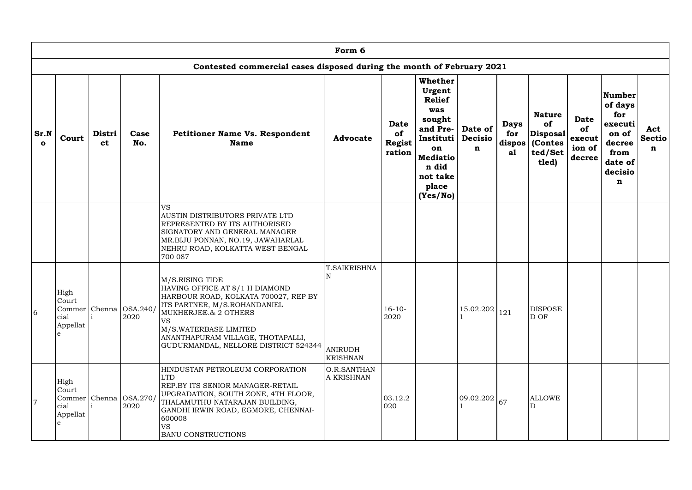|                      |                                             |                     |                                |                                                                                                                                                                                                                                                                      | Form 6                                                   |                                       |                                                                                                                                                                  |                                          |                                    |                                                                          |                                                 |                                                                                           |                           |
|----------------------|---------------------------------------------|---------------------|--------------------------------|----------------------------------------------------------------------------------------------------------------------------------------------------------------------------------------------------------------------------------------------------------------------|----------------------------------------------------------|---------------------------------------|------------------------------------------------------------------------------------------------------------------------------------------------------------------|------------------------------------------|------------------------------------|--------------------------------------------------------------------------|-------------------------------------------------|-------------------------------------------------------------------------------------------|---------------------------|
|                      |                                             |                     |                                | Contested commercial cases disposed during the month of February 2021                                                                                                                                                                                                |                                                          |                                       |                                                                                                                                                                  |                                          |                                    |                                                                          |                                                 |                                                                                           |                           |
| Sr.N<br>$\mathbf{o}$ | Court                                       | Distri<br><b>ct</b> | Case<br>No.                    | <b>Petitioner Name Vs. Respondent</b><br><b>Name</b>                                                                                                                                                                                                                 | <b>Advocate</b>                                          | <b>Date</b><br>of<br>Regist<br>ration | <b>Whether</b><br>Urgent<br><b>Relief</b><br>was<br>sought<br>and Pre- $\vert$<br>Instituti  <br>on<br><b>Mediatio</b><br>n did<br>not take<br>place<br>(Yes/No) | Date of<br><b>Decisio</b><br>$\mathbf n$ | <b>Days</b><br>for<br>dispos<br>a1 | <b>Nature</b><br>of<br>$ {\bf Disposal} $<br>(Contes<br>ted/Set<br>tled) | <b>Date</b><br>of<br>execut<br>ion of<br>decree | Number<br>of days<br>for<br>executi<br>on of<br>decree<br>from<br>date of<br>decisio<br>n | Act<br><b>Sectio</b><br>n |
|                      |                                             |                     |                                | <b>VS</b><br><b>AUSTIN DISTRIBUTORS PRIVATE LTD</b><br><b>REPRESENTED BY ITS AUTHORISED</b><br>SIGNATORY AND GENERAL MANAGER<br>MR.BIJU PONNAN, NO.19, JAWAHARLAL<br>NEHRU ROAD, KOLKATTA WEST BENGAL<br>700 087                                                     |                                                          |                                       |                                                                                                                                                                  |                                          |                                    |                                                                          |                                                 |                                                                                           |                           |
| 6                    | High<br>Court<br>cial<br>Appellat           |                     | Commer Chenna OSA.240/<br>2020 | M/S.RISING TIDE<br>HAVING OFFICE AT 8/1 H DIAMOND<br>HARBOUR ROAD, KOLKATA 700027, REP BY<br>ITS PARTNER, M/S.ROHANDANIEL<br>MUKHERJEE.& 2 OTHERS<br><b>VS</b><br>M/S.WATERBASE LIMITED<br>ANANTHAPURAM VILLAGE, THOTAPALLI,<br>GUDURMANDAL, NELLORE DISTRICT 524344 | <b>T.SAIKRISHNA</b><br><b>ANIRUDH</b><br><b>KRISHNAN</b> | $16-10-$<br>2020                      |                                                                                                                                                                  | 15.02.202                                | 121                                | <b>DISPOSE</b><br>D OF                                                   |                                                 |                                                                                           |                           |
| $\overline{7}$       | High<br>Court<br>Commer<br>cial<br>Appellat |                     | Chenna OSA.270/<br>2020        | HINDUSTAN PETROLEUM CORPORATION<br><b>LTD</b><br>REP.BY ITS SENIOR MANAGER-RETAIL<br>UPGRADATION, SOUTH ZONE, 4TH FLOOR,<br>THALAMUTHU NATARAJAN BUILDING,<br>GANDHI IRWIN ROAD, EGMORE, CHENNAI-<br>600008<br><b>VS</b><br><b>BANU CONSTRUCTIONS</b>                | O.R.SANTHAN<br>A KRISHNAN                                | 03.12.2<br>020                        |                                                                                                                                                                  | $ 09.02.202 _{67}$                       |                                    | <b>ALLOWE</b>                                                            |                                                 |                                                                                           |                           |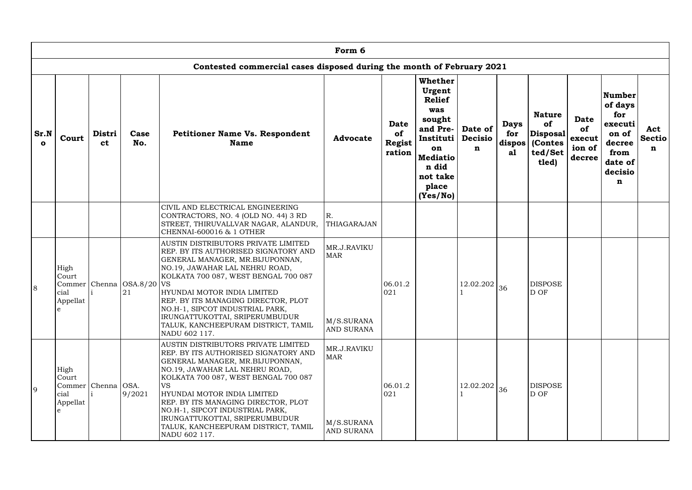|                      |                                                  |                    |                          |                                                                                                                                                                                                                                                                                                                                                                                                          | Form 6                                                       |                                       |                                                                                                                                                                  |                                          |                                    |                                                                       |                                                 |                                                                                                  |                           |
|----------------------|--------------------------------------------------|--------------------|--------------------------|----------------------------------------------------------------------------------------------------------------------------------------------------------------------------------------------------------------------------------------------------------------------------------------------------------------------------------------------------------------------------------------------------------|--------------------------------------------------------------|---------------------------------------|------------------------------------------------------------------------------------------------------------------------------------------------------------------|------------------------------------------|------------------------------------|-----------------------------------------------------------------------|-------------------------------------------------|--------------------------------------------------------------------------------------------------|---------------------------|
|                      |                                                  |                    |                          | Contested commercial cases disposed during the month of February 2021                                                                                                                                                                                                                                                                                                                                    |                                                              |                                       |                                                                                                                                                                  |                                          |                                    |                                                                       |                                                 |                                                                                                  |                           |
| Sr.N<br>$\mathbf{o}$ | Court                                            | Distri<br>ct       | Case<br>No.              | <b>Petitioner Name Vs. Respondent</b><br><b>Name</b>                                                                                                                                                                                                                                                                                                                                                     | <b>Advocate</b>                                              | <b>Date</b><br>of<br>Regist<br>ration | <b>Whether</b><br>Urgent<br><b>Relief</b><br>was<br>sought<br>and Pre- $\vert$<br>Instituti  <br>on<br><b>Mediatio</b><br>n did<br>not take<br>place<br>(Yes/No) | Date of<br><b>Decisio</b><br>$\mathbf n$ | <b>Days</b><br>for<br>dispos<br>a1 | <b>Nature</b><br><b>of</b><br>Disposal<br>(Contes<br>ted/Set<br>tled) | <b>Date</b><br>of<br>execut<br>ion of<br>decree | <b>Number</b><br>of days<br>for<br>executi<br>on of<br>decree<br>from<br>date of<br>decisio<br>n | Act<br><b>Sectio</b><br>n |
|                      |                                                  |                    |                          | CIVIL AND ELECTRICAL ENGINEERING<br>CONTRACTORS, NO. 4 (OLD NO. 44) 3 RD<br>STREET, THIRUVALLVAR NAGAR, ALANDUR,<br><b>CHENNAI-600016 &amp; 1 OTHER</b>                                                                                                                                                                                                                                                  | R.<br>THIAGARAJAN                                            |                                       |                                                                                                                                                                  |                                          |                                    |                                                                       |                                                 |                                                                                                  |                           |
| 8                    | High<br>Court<br>Commer<br>cial<br>Appellat<br>e |                    | Chenna OSA.8/20 VS<br>21 | AUSTIN DISTRIBUTORS PRIVATE LIMITED<br>REP. BY ITS AUTHORISED SIGNATORY AND<br>GENERAL MANAGER, MR.BIJUPONNAN,<br>NO.19, JAWAHAR LAL NEHRU ROAD,<br>KOLKATA 700 087, WEST BENGAL 700 087<br>HYUNDAI MOTOR INDIA LIMITED<br>REP. BY ITS MANAGING DIRECTOR, PLOT<br>NO.H-1, SIPCOT INDUSTRIAL PARK,<br>IRUNGATTUKOTTAI, SRIPERUMBUDUR<br>TALUK, KANCHEEPURAM DISTRICT, TAMIL<br>NADU 602 117.              | MR.J.RAVIKU<br><b>MAR</b><br>M/S.SURANA<br><b>AND SURANA</b> | 06.01.2<br>021                        |                                                                                                                                                                  | 12.02.202                                | 36                                 | <b>DISPOSE</b><br>D OF                                                |                                                 |                                                                                                  |                           |
| 9                    | High<br>Court<br>cial<br>Appellat                | Commer Chenna OSA. | 9/2021                   | AUSTIN DISTRIBUTORS PRIVATE LIMITED<br>REP. BY ITS AUTHORISED SIGNATORY AND<br>GENERAL MANAGER, MR.BIJUPONNAN,<br>NO.19, JAWAHAR LAL NEHRU ROAD,<br>KOLKATA 700 087, WEST BENGAL 700 087<br><b>VS</b><br>HYUNDAI MOTOR INDIA LIMITED<br>REP. BY ITS MANAGING DIRECTOR, PLOT<br>NO.H-1, SIPCOT INDUSTRIAL PARK,<br>IRUNGATTUKOTTAI, SRIPERUMBUDUR<br>TALUK, KANCHEEPURAM DISTRICT, TAMIL<br>NADU 602 117. | MR.J.RAVIKU<br><b>MAR</b><br>M/S.SURANA<br>AND SURANA        | 06.01.2<br>021                        |                                                                                                                                                                  | 12.02.202                                | 36                                 | <b>DISPOSE</b><br>D OF                                                |                                                 |                                                                                                  |                           |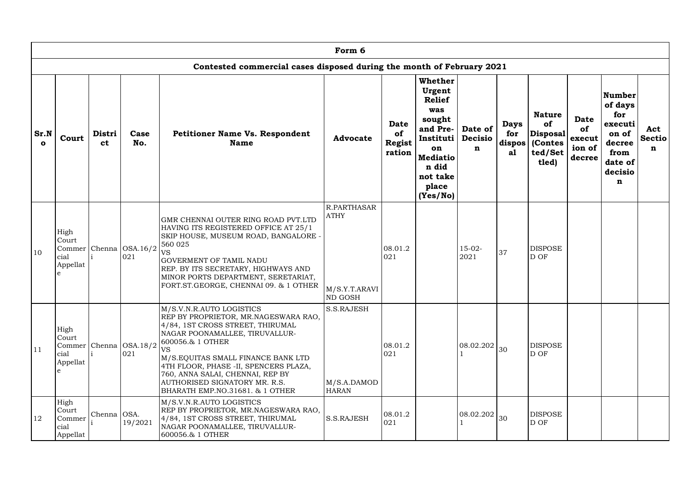|                      |                                             |              |                               |                                                                                                                                                                                                                                                                                                                                                                | Form 6                                                        |                                              |                                                                                                                                                                  |                                          |                                     |                                                                             |                                                 |                                                                                           |                           |
|----------------------|---------------------------------------------|--------------|-------------------------------|----------------------------------------------------------------------------------------------------------------------------------------------------------------------------------------------------------------------------------------------------------------------------------------------------------------------------------------------------------------|---------------------------------------------------------------|----------------------------------------------|------------------------------------------------------------------------------------------------------------------------------------------------------------------|------------------------------------------|-------------------------------------|-----------------------------------------------------------------------------|-------------------------------------------------|-------------------------------------------------------------------------------------------|---------------------------|
|                      |                                             |              |                               | Contested commercial cases disposed during the month of February 2021                                                                                                                                                                                                                                                                                          |                                                               |                                              |                                                                                                                                                                  |                                          |                                     |                                                                             |                                                 |                                                                                           |                           |
| Sr.N<br>$\mathbf{o}$ | Court                                       | Distri<br>ct | Case<br>No.                   | <b>Petitioner Name Vs. Respondent</b><br><b>Name</b>                                                                                                                                                                                                                                                                                                           | <b>Advocate</b>                                               | <b>Date</b><br>of<br><b>Regist</b><br>ration | <b>Whether</b><br>Urgent<br><b>Relief</b><br>was<br>sought<br>and Pre- $\vert$<br>Instituti  <br>on<br><b>Mediatio</b><br>n did<br>not take<br>place<br>(Yes/No) | Date of<br><b>Decisio</b><br>$\mathbf n$ | <b>Days</b><br>for<br>dispos'<br>a1 | <b>Nature</b><br>of<br>$ \mathbf{Disposal} $<br>(Contes<br>ted/Set<br>tled) | <b>Date</b><br>of<br>execut<br>ion of<br>decree | Number<br>of days<br>for<br>executi<br>on of<br>decree<br>from<br>date of<br>decisio<br>n | Act<br><b>Sectio</b><br>n |
| <sup>10</sup>        | High<br>Court<br>Commer<br>cial<br>Appellat |              | $ Chenna $ OSA.16/2<br>021    | GMR CHENNAI OUTER RING ROAD PVT.LTD<br>HAVING ITS REGISTERED OFFICE AT 25/1<br>SKIP HOUSE, MUSEUM ROAD, BANGALORE -<br>560 025<br><b>VS</b><br><b>GOVERMENT OF TAMIL NADU</b><br>REP. BY ITS SECRETARY, HIGHWAYS AND<br>MINOR PORTS DEPARTMENT, SERETARIAT,<br>FORT.ST.GEORGE, CHENNAI 09. & 1 OTHER                                                           | R.PARTHASAR<br><b>ATHY</b><br>M/S.Y.T.ARAVI<br><b>ND GOSH</b> | 08.01.2<br>021                               |                                                                                                                                                                  | $15-02-$<br>2021                         | 37                                  | <b>DISPOSE</b><br>D OF                                                      |                                                 |                                                                                           |                           |
| <sup>11</sup>        | High<br>Court<br>cial<br>Appellat           |              | Commer Chenna OSA.18/2<br>021 | M/S.V.N.R.AUTO LOGISTICS<br>REP BY PROPRIETOR, MR.NAGESWARA RAO,<br>4/84, 1ST CROSS STREET, THIRUMAL<br>NAGAR POONAMALLEE, TIRUVALLUR-<br>600056.& 1 OTHER<br><b>VS</b><br>M/S.EQUITAS SMALL FINANCE BANK LTD<br>4TH FLOOR, PHASE -II, SPENCERS PLAZA,<br>760, ANNA SALAI, CHENNAI, REP BY<br>AUTHORISED SIGNATORY MR. R.S.<br>BHARATH EMP.NO.31681. & 1 OTHER | S.S.RAJESH<br>M/S.A.DAMOD<br><b>HARAN</b>                     | 08.01.2<br>021                               |                                                                                                                                                                  | $ 08.02.202 _{30}$                       |                                     | <b>DISPOSE</b><br>D OF                                                      |                                                 |                                                                                           |                           |
| <sup>12</sup>        | High<br>Court<br>Commer<br>cial<br>Appellat | Chenna OSA.  | 19/2021                       | M/S.V.N.R.AUTO LOGISTICS<br>REP BY PROPRIETOR, MR.NAGESWARA RAO,<br>4/84, 1ST CROSS STREET, THIRUMAL<br>NAGAR POONAMALLEE, TIRUVALLUR-<br>600056.& 1 OTHER                                                                                                                                                                                                     | S.S.RAJESH                                                    | 08.01.2<br>021                               |                                                                                                                                                                  | 08.02.202                                | 30                                  | <b>DISPOSE</b><br>D OF                                                      |                                                 |                                                                                           |                           |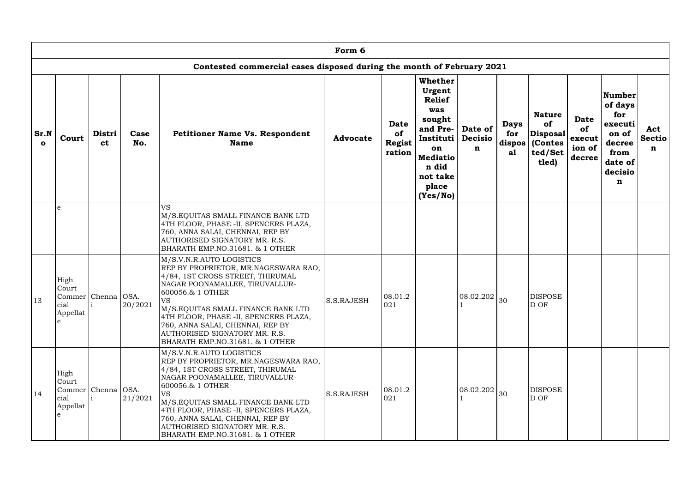|                      | Form 6                                                    |  |         |                                                                                                                                                                                                                                                                                                                                                                |                   |                                       |                                                                                                                                                                  |                                          |                                    |                                                                                |                                                 |                                                                                           |                           |
|----------------------|-----------------------------------------------------------|--|---------|----------------------------------------------------------------------------------------------------------------------------------------------------------------------------------------------------------------------------------------------------------------------------------------------------------------------------------------------------------------|-------------------|---------------------------------------|------------------------------------------------------------------------------------------------------------------------------------------------------------------|------------------------------------------|------------------------------------|--------------------------------------------------------------------------------|-------------------------------------------------|-------------------------------------------------------------------------------------------|---------------------------|
|                      |                                                           |  |         | Contested commercial cases disposed during the month of February 2021                                                                                                                                                                                                                                                                                          |                   |                                       |                                                                                                                                                                  |                                          |                                    |                                                                                |                                                 |                                                                                           |                           |
| Sr.N<br>$\mathbf{o}$ | Distri<br>Case<br>Court<br>No.<br><b>ct</b>               |  |         | <b>Petitioner Name Vs. Respondent</b><br><b>Name</b>                                                                                                                                                                                                                                                                                                           | <b>Advocate</b>   | <b>Date</b><br>of<br>Regist<br>ration | <b>Whether</b><br>Urgent<br><b>Relief</b><br>was<br>sought<br>and Pre- $\vert$<br>Instituti  <br>on<br><b>Mediatio</b><br>n did<br>not take<br>place<br>(Yes/No) | Date of<br><b>Decisio</b><br>$\mathbf n$ | <b>Days</b><br>for<br>dispos<br>a1 | <b>Nature</b><br>of<br>$\vert$ Disposal $\vert$<br>(Contes<br>ted/Set<br>tled) | <b>Date</b><br>of<br>execut<br>ion of<br>decree | Number<br>of days<br>for<br>executi<br>on of<br>decree<br>from<br>date of<br>decisio<br>n | Act<br><b>Sectio</b><br>n |
|                      | e                                                         |  |         | <b>VS</b><br>M/S.EQUITAS SMALL FINANCE BANK LTD<br>4TH FLOOR, PHASE -II, SPENCERS PLAZA,<br>760, ANNA SALAI, CHENNAI, REP BY<br>AUTHORISED SIGNATORY MR. R.S.<br>BHARATH EMP.NO.31681. & 1 OTHER                                                                                                                                                               |                   |                                       |                                                                                                                                                                  |                                          |                                    |                                                                                |                                                 |                                                                                           |                           |
| 13                   | High<br>Court<br>Commer Chenna   OSA.<br>cial<br>Appellat |  | 20/2021 | M/S.V.N.R.AUTO LOGISTICS<br>REP BY PROPRIETOR, MR.NAGESWARA RAO,<br>4/84, 1ST CROSS STREET, THIRUMAL<br>NAGAR POONAMALLEE, TIRUVALLUR-<br>600056.& 1 OTHER<br><b>VS</b><br>M/S.EQUITAS SMALL FINANCE BANK LTD<br>4TH FLOOR, PHASE -II, SPENCERS PLAZA,<br>760, ANNA SALAI, CHENNAI, REP BY<br>AUTHORISED SIGNATORY MR. R.S.<br>BHARATH EMP.NO.31681. & 1 OTHER | <b>S.S.RAJESH</b> | 08.01.2<br> 021                       |                                                                                                                                                                  | $ 08.02.202 _{30}$                       |                                    | <b>DISPOSE</b><br>D OF                                                         |                                                 |                                                                                           |                           |
| 14                   | High<br>Court<br>Commer Chenna   OSA.<br>cial<br>Appellat |  | 21/2021 | M/S.V.N.R.AUTO LOGISTICS<br>REP BY PROPRIETOR, MR.NAGESWARA RAO,<br>4/84, 1ST CROSS STREET, THIRUMAL<br>NAGAR POONAMALLEE, TIRUVALLUR-<br>600056.& 1 OTHER<br><b>VS</b><br>M/S.EQUITAS SMALL FINANCE BANK LTD<br>4TH FLOOR, PHASE -II, SPENCERS PLAZA,<br>760, ANNA SALAI, CHENNAI, REP BY<br>AUTHORISED SIGNATORY MR. R.S.<br>BHARATH EMP.NO.31681. & 1 OTHER | S.S.RAJESH        | 08.01.2<br>021                        |                                                                                                                                                                  | 08.02.202                                | 30                                 | <b>DISPOSE</b><br>D OF                                                         |                                                 |                                                                                           |                           |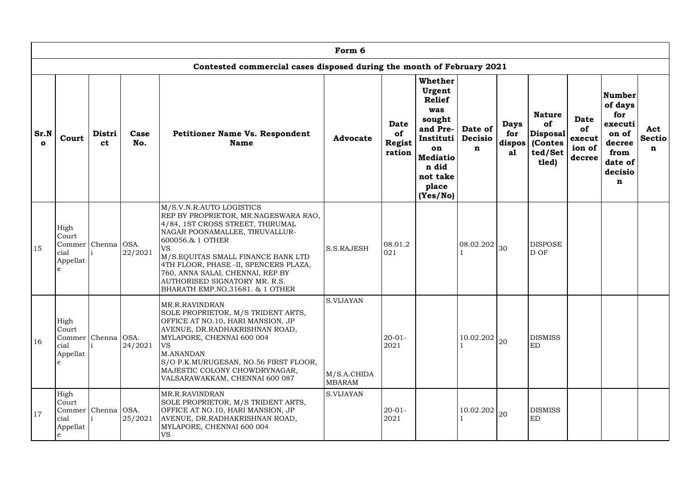|                      | Form 6                                                    |                             |         |                                                                                                                                                                                                                                                                                                                                                                |                                                  |                                              |                                                                                                                                                                  |                                          |                                    |                                                                |                                                 |                                                                                           |                           |
|----------------------|-----------------------------------------------------------|-----------------------------|---------|----------------------------------------------------------------------------------------------------------------------------------------------------------------------------------------------------------------------------------------------------------------------------------------------------------------------------------------------------------------|--------------------------------------------------|----------------------------------------------|------------------------------------------------------------------------------------------------------------------------------------------------------------------|------------------------------------------|------------------------------------|----------------------------------------------------------------|-------------------------------------------------|-------------------------------------------------------------------------------------------|---------------------------|
|                      |                                                           |                             |         | Contested commercial cases disposed during the month of February 2021                                                                                                                                                                                                                                                                                          |                                                  |                                              |                                                                                                                                                                  |                                          |                                    |                                                                |                                                 |                                                                                           |                           |
| Sr.N<br>$\mathbf{o}$ | Court                                                     | Distri<br>Case<br>No.<br>ct |         | <b>Petitioner Name Vs. Respondent</b><br><b>Name</b>                                                                                                                                                                                                                                                                                                           | <b>Advocate</b>                                  | <b>Date</b><br>of<br><b>Regist</b><br>ration | <b>Whether</b><br>Urgent<br><b>Relief</b><br>was<br>sought<br>and Pre- $\vert$<br>Instituti  <br>on<br><b>Mediatio</b><br>n did<br>not take<br>place<br>(Yes/No) | Date of<br><b>Decisio</b><br>$\mathbf n$ | <b>Days</b><br>for<br>dispos<br>a1 | <b>Nature</b><br>of<br>Disposal<br>(Contes<br>ted/Set<br>tled) | <b>Date</b><br>of<br>execut<br>ion of<br>decree | Number<br>of days<br>for<br>executi<br>on of<br>decree<br>from<br>date of<br>decisio<br>n | Act<br><b>Sectio</b><br>n |
| <sup>15</sup>        | High<br>Court<br>Commer Chenna   OSA.<br>cial<br>Appellat |                             | 22/2021 | M/S.V.N.R.AUTO LOGISTICS<br>REP BY PROPRIETOR, MR.NAGESWARA RAO,<br>4/84, 1ST CROSS STREET, THIRUMAL<br>NAGAR POONAMALLEE, TIRUVALLUR-<br>600056.& 1 OTHER<br><b>VS</b><br>M/S.EQUITAS SMALL FINANCE BANK LTD<br>4TH FLOOR, PHASE -II, SPENCERS PLAZA,<br>760, ANNA SALAI, CHENNAI, REP BY<br>AUTHORISED SIGNATORY MR. R.S.<br>BHARATH EMP.NO.31681. & 1 OTHER | S.S.RAJESH                                       | 08.01.2<br>021                               |                                                                                                                                                                  | 08.02.202                                | 30                                 | <b>DISPOSE</b><br>D OF                                         |                                                 |                                                                                           |                           |
| 16                   | High<br>Court<br>Commer Chenna OSA.<br>cial<br>Appellat   |                             | 24/2021 | MR.R.RAVINDRAN<br>SOLE PROPRIETOR, M/S TRIDENT ARTS,<br>OFFICE AT NO.10, HARI MANSION, JP<br>AVENUE, DR.RADHAKRISHNAN ROAD,<br>MYLAPORE, CHENNAI 600 004<br><b>VS</b><br>M.ANANDAN<br>S/O P.K.MURUGESAN, NO.56 FIRST FLOOR,<br>MAJESTIC COLONY CHOWDRYNAGAR,<br>VALSARAWAKKAM, CHENNAI 600 087                                                                 | <b>S.VIJAYAN</b><br>M/S.A.CHIDA<br><b>MBARAM</b> | $20-01-$<br>2021                             |                                                                                                                                                                  | 10.02.202                                | 20                                 | <b>DISMISS</b><br>ED                                           |                                                 |                                                                                           |                           |
| <sup>17</sup>        | High<br>Court<br>Commer Chenna OSA.<br>cial<br>Appellat   |                             | 25/2021 | MR.R.RAVINDRAN<br>SOLE PROPRIETOR, M/S TRIDENT ARTS,<br>OFFICE AT NO.10, HARI MANSION, JP<br>AVENUE, DR.RADHAKRISHNAN ROAD,<br>MYLAPORE, CHENNAI 600 004<br><b>VS</b>                                                                                                                                                                                          | <b>S.VIJAYAN</b>                                 | $20-01-$<br>2021                             |                                                                                                                                                                  | 10.02.202                                | 20                                 | <b>DISMISS</b><br>ED                                           |                                                 |                                                                                           |                           |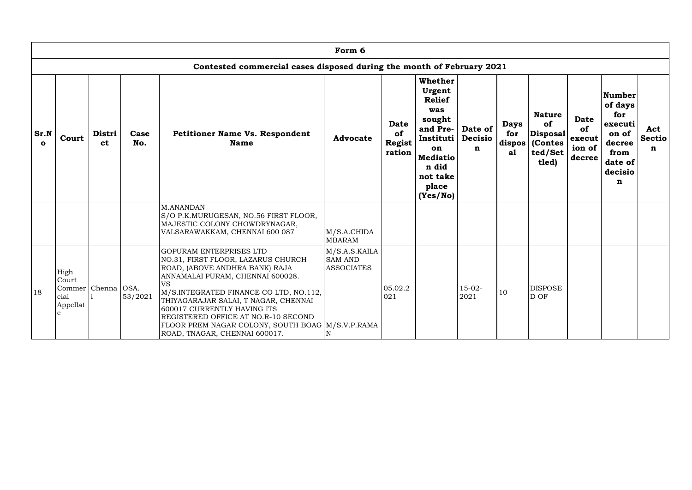|                      | Form 6                                                                |                     |             |                                                                                                                                                                                                                                                                                                                                                                                               |                                                      |                                              |                                                                                                                                                        |                                          |                                    |                                                                          |                                                 |                                                                                                     |                                     |
|----------------------|-----------------------------------------------------------------------|---------------------|-------------|-----------------------------------------------------------------------------------------------------------------------------------------------------------------------------------------------------------------------------------------------------------------------------------------------------------------------------------------------------------------------------------------------|------------------------------------------------------|----------------------------------------------|--------------------------------------------------------------------------------------------------------------------------------------------------------|------------------------------------------|------------------------------------|--------------------------------------------------------------------------|-------------------------------------------------|-----------------------------------------------------------------------------------------------------|-------------------------------------|
|                      | Contested commercial cases disposed during the month of February 2021 |                     |             |                                                                                                                                                                                                                                                                                                                                                                                               |                                                      |                                              |                                                                                                                                                        |                                          |                                    |                                                                          |                                                 |                                                                                                     |                                     |
| Sr.N<br>$\mathbf{o}$ | Court                                                                 | Distri<br><b>ct</b> | Case<br>No. | <b>Petitioner Name Vs. Respondent</b><br><b>Name</b>                                                                                                                                                                                                                                                                                                                                          | <b>Advocate</b>                                      | <b>Date</b><br>of<br><b>Regist</b><br>ration | <b>Whether</b><br>Urgent<br><b>Relief</b><br>was<br>sought<br>and Pre-<br>Instituti<br>on<br><b>Mediatio</b><br>n did<br>not take<br>place<br>(Yes/No) | Date of<br><b>Decisio</b><br>$\mathbf n$ | <b>Days</b><br>for<br>dispos<br>a1 | <b>Nature</b><br>of<br>$ {\bf Disposal} $<br>(Contes<br>ted/Set<br>tled) | <b>Date</b><br>of<br>execut<br>ion of<br>decree | Number<br>of days<br>for<br>executi<br>on of<br>decree<br>from<br>date of<br>decisio<br>$\mathbf n$ | Act<br><b>Sectio</b><br>$\mathbf n$ |
|                      |                                                                       |                     |             | <b>M.ANANDAN</b><br>S/O P.K.MURUGESAN, NO.56 FIRST FLOOR,<br>MAJESTIC COLONY CHOWDRYNAGAR,<br>VALSARAWAKKAM, CHENNAI 600 087                                                                                                                                                                                                                                                                  | M/S.A.CHIDA<br><b>MBARAM</b>                         |                                              |                                                                                                                                                        |                                          |                                    |                                                                          |                                                 |                                                                                                     |                                     |
| 18                   | High<br>Court<br>Commer  <br>cial<br>Appellat<br>e                    | Chenna OSA.         | 53/2021     | GOPURAM ENTERPRISES LTD<br>NO.31, FIRST FLOOR, LAZARUS CHURCH<br>ROAD, (ABOVE ANDHRA BANK) RAJA<br>ANNAMALAI PURAM, CHENNAI 600028.<br><b>VS</b><br>M/S.INTEGRATED FINANCE CO LTD, NO.112,<br>THIYAGARAJAR SALAI, T NAGAR, CHENNAI<br>600017 CURRENTLY HAVING ITS<br>REGISTERED OFFICE AT NO.R-10 SECOND<br>FLOOR PREM NAGAR COLONY, SOUTH BOAG M/S.V.P.RAMA<br>ROAD, TNAGAR, CHENNAI 600017. | M/S.A.S.KAILA<br><b>SAM AND</b><br><b>ASSOCIATES</b> | 05.02.2<br>021                               |                                                                                                                                                        | $15-02-$<br>2021                         | 10                                 | <b>DISPOSE</b><br>D OF                                                   |                                                 |                                                                                                     |                                     |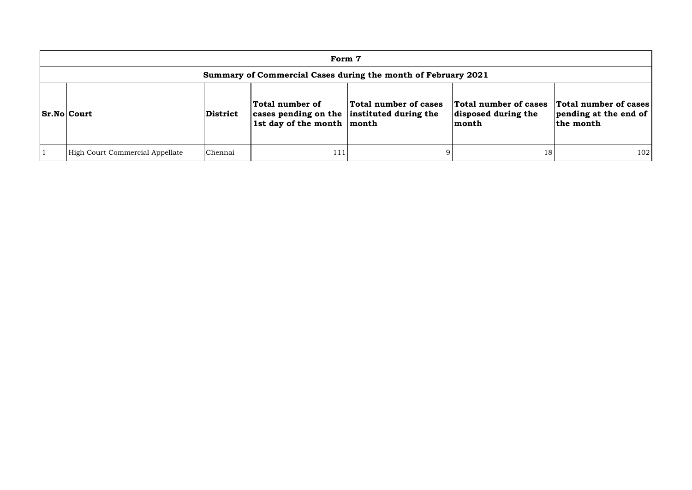| Form 7                                                                                                                                                                                                                                                                                             |         |     |  |    |     |  |  |  |  |
|----------------------------------------------------------------------------------------------------------------------------------------------------------------------------------------------------------------------------------------------------------------------------------------------------|---------|-----|--|----|-----|--|--|--|--|
| Summary of Commercial Cases during the month of February 2021                                                                                                                                                                                                                                      |         |     |  |    |     |  |  |  |  |
| Total number of cases<br>Total number of cases<br>Total number of cases<br>Total number of<br>$ Sr.No $ Court<br>cases pending on the instituted during the<br>pending at the end of<br>disposed during the<br><b>District</b><br>$\vert$ 1st day of the month $\vert$ month<br>the month<br>month |         |     |  |    |     |  |  |  |  |
| High Court Commercial Appellate                                                                                                                                                                                                                                                                    | Chennai | 111 |  | 18 | 102 |  |  |  |  |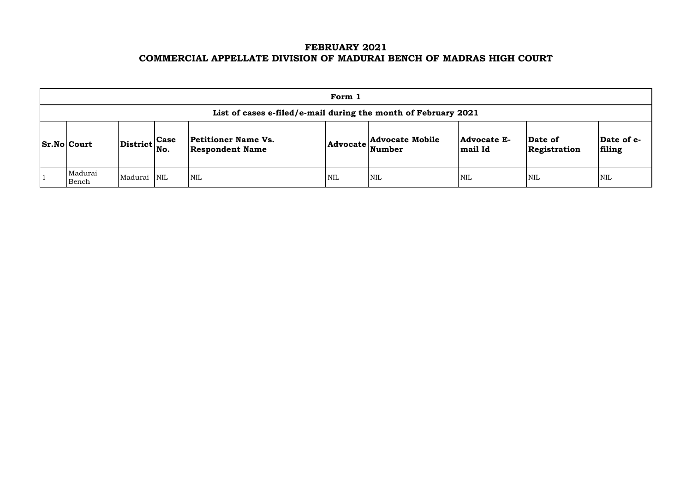## **FEBRUARY 2021 COMMERCIAL APPELLATE DIVISION OF MADURAI BENCH OF MADRAS HIGH COURT**

| Form 1                                                         |                                                           |  |                                                      |     |                                                            |                               |                         |                     |  |  |  |  |
|----------------------------------------------------------------|-----------------------------------------------------------|--|------------------------------------------------------|-----|------------------------------------------------------------|-------------------------------|-------------------------|---------------------|--|--|--|--|
| List of cases e-filed/e-mail during the month of February 2021 |                                                           |  |                                                      |     |                                                            |                               |                         |                     |  |  |  |  |
| <b>Sr.No Court</b>                                             | $\left \text{District}\right _{\text{No.}}^{\text{Case}}$ |  | <b>Petitioner Name Vs.</b><br><b>Respondent Name</b> |     | <b>Advocate Mobile</b><br>$ {\bf Advocate} \text{Number} $ | <b>Advocate E-</b><br>mail Id | Date of<br>Registration | $ {\bf Da}$<br>fili |  |  |  |  |
| Madurai<br>Bench                                               | Madurai NIL                                               |  | <b>NIL</b>                                           | NIL | NIL                                                        | <b>NIL</b>                    | <b>NIL</b>              | NIL                 |  |  |  |  |

| Date of<br>Registration | Date of e-<br>filing |
|-------------------------|----------------------|
| NIL                     | NH.                  |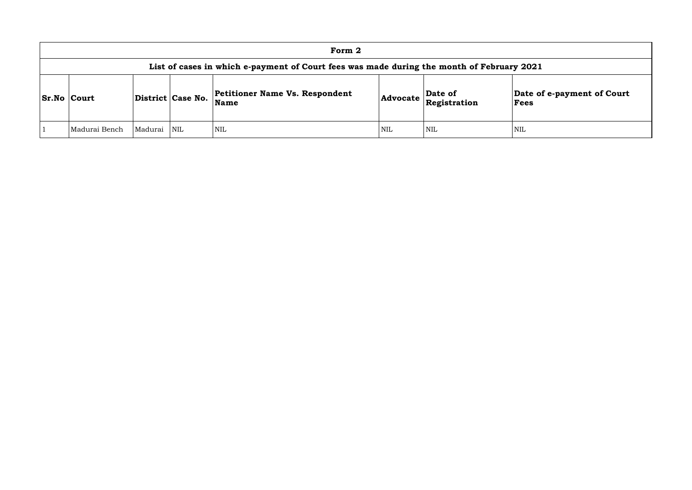| Form 2                                                                                    |         |                   |                                                      |                 |                         |                 |  |  |  |  |  |
|-------------------------------------------------------------------------------------------|---------|-------------------|------------------------------------------------------|-----------------|-------------------------|-----------------|--|--|--|--|--|
| List of cases in which e-payment of Court fees was made during the month of February 2021 |         |                   |                                                      |                 |                         |                 |  |  |  |  |  |
| <b>Sr.No Court</b>                                                                        |         | District Case No. | <b>Petitioner Name Vs. Respondent</b><br><b>Name</b> | <b>Advocate</b> | Date of<br>Registration | Date of<br>Fees |  |  |  |  |  |
| Madurai Bench                                                                             | Madurai | <b>NIL</b>        | <b>NIL</b>                                           | <b>NIL</b>      | NIL                     | NIL             |  |  |  |  |  |

## **Date of e-payment of Court Fees**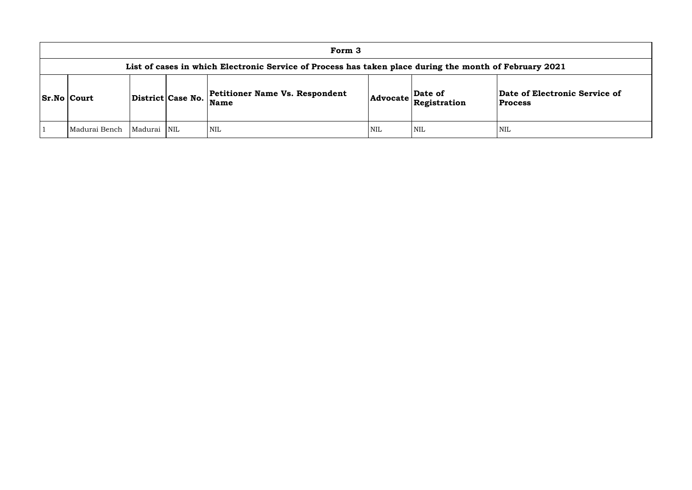# **List of cases in which Electronic Service of Process has taken place during the month of February 2021**

## **of Electronic Service of Process**

| Form 3                                                                                         |         |                   |                                                      |     |                                                          |                         |  |  |  |  |  |  |
|------------------------------------------------------------------------------------------------|---------|-------------------|------------------------------------------------------|-----|----------------------------------------------------------|-------------------------|--|--|--|--|--|--|
| List of cases in which Electronic Service of Process has taken place during the month of Febru |         |                   |                                                      |     |                                                          |                         |  |  |  |  |  |  |
| <b>Sr.No Court</b>                                                                             |         | District Case No. | <b>Petitioner Name Vs. Respondent</b><br><b>Name</b> |     | $\left  \text{Advocate} \right \text{Degree of} \right $ | Date c<br><b>Proces</b> |  |  |  |  |  |  |
| Madurai Bench                                                                                  | Madurai | <b>NIL</b>        | <b>NIL</b>                                           | NIL | <b>NIL</b>                                               | NIL                     |  |  |  |  |  |  |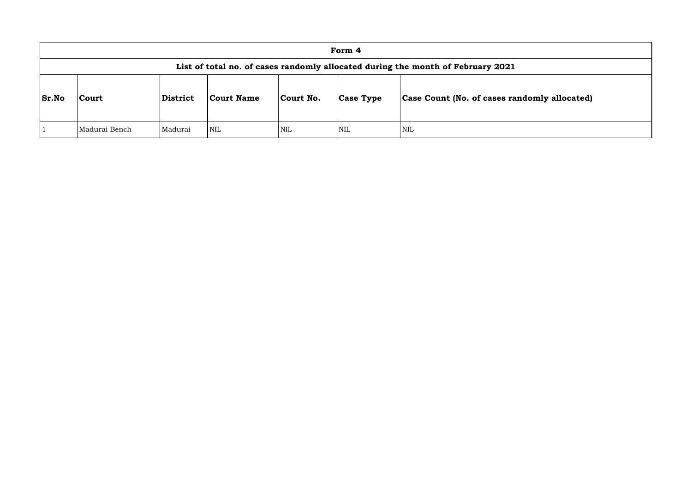|              | Form 4                                                                          |                 |            |            |                  |                                      |  |  |  |  |  |  |
|--------------|---------------------------------------------------------------------------------|-----------------|------------|------------|------------------|--------------------------------------|--|--|--|--|--|--|
|              | List of total no. of cases randomly allocated during the month of February 2021 |                 |            |            |                  |                                      |  |  |  |  |  |  |
| <b>Sr.No</b> | <b>Court</b>                                                                    | <b>District</b> | Court Name | Court No.  | <b>Case Type</b> | <b>Case Count (No. of cases rand</b> |  |  |  |  |  |  |
|              | Madurai Bench                                                                   | Madurai         | <b>NIL</b> | <b>NIL</b> | <b>NIL</b>       | <b>NIL</b>                           |  |  |  |  |  |  |

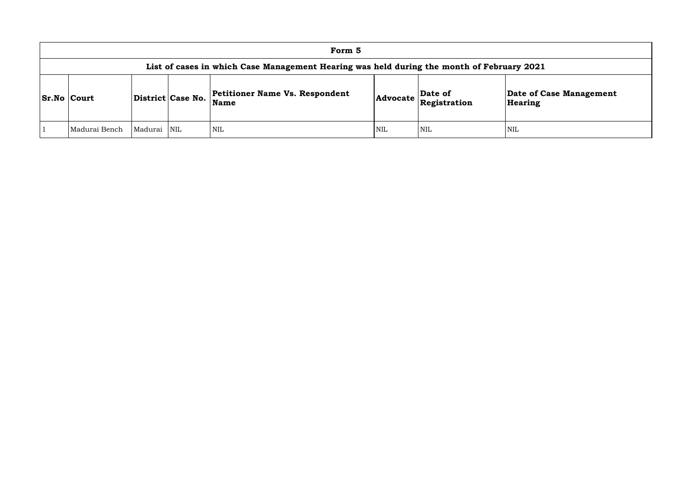| Form 5                                                                                    |         |                   |                                                      |            |                         |                      |  |  |  |  |  |
|-------------------------------------------------------------------------------------------|---------|-------------------|------------------------------------------------------|------------|-------------------------|----------------------|--|--|--|--|--|
| List of cases in which Case Management Hearing was held during the month of February 2021 |         |                   |                                                      |            |                         |                      |  |  |  |  |  |
| <b>Sr.No Court</b>                                                                        |         | District Case No. | <b>Petitioner Name Vs. Respondent</b><br><b>Name</b> | Advocate   | Date of<br>Registration | Date of C<br>Hearing |  |  |  |  |  |
| Madurai Bench                                                                             | Madurai | <b>NIL</b>        | <b>NIL</b>                                           | <b>NIL</b> | <b>NIL</b>              | <b>NIL</b>           |  |  |  |  |  |

**e of Case Management** ring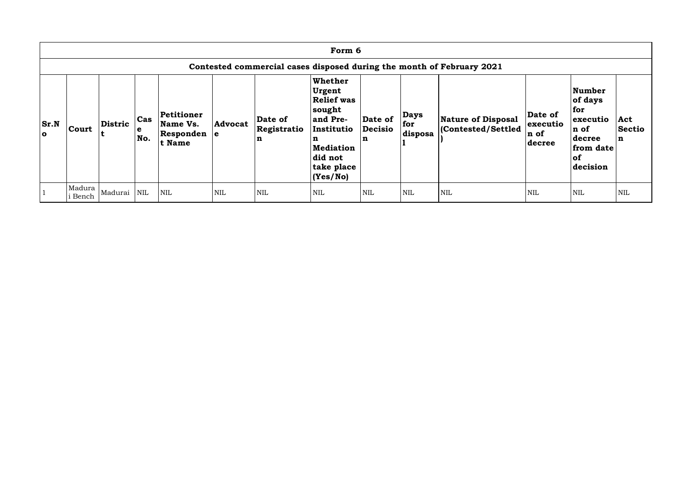|                                       | Form 6                                                                |                |                                      |                                                 |                |                             |                                                                                                                                                  |                                |                               |                                                |                                        |                                                                                        |                           |
|---------------------------------------|-----------------------------------------------------------------------|----------------|--------------------------------------|-------------------------------------------------|----------------|-----------------------------|--------------------------------------------------------------------------------------------------------------------------------------------------|--------------------------------|-------------------------------|------------------------------------------------|----------------------------------------|----------------------------------------------------------------------------------------|---------------------------|
|                                       | Contested commercial cases disposed during the month of February 2021 |                |                                      |                                                 |                |                             |                                                                                                                                                  |                                |                               |                                                |                                        |                                                                                        |                           |
| $\mathbf{Sr}.\mathbf{N}$<br>$\bullet$ | <b>Court</b>                                                          | <b>Distric</b> | $\operatorname{\sf Cas}$<br>e<br>No. | Petitioner<br>Name Vs.<br>Responden e<br>t Name | <b>Advocat</b> | Date of<br>Registratio<br>n | Whether<br><b>Urgent</b><br><b>Relief was</b><br>sought<br>and Pre-<br>Institutio<br>n<br><b>Mediation</b><br>did not<br>take place<br> (Yes/No) | Date of<br><b>Decisio</b><br>n | <b>Days</b><br>for<br>disposa | <b>Nature of Disposal</b><br>Contested/Settled | Date of<br>executio<br>n of<br> decree | Number<br>of days<br>for<br>executio<br>n of<br>decree<br>from date<br> of<br>decision | Act<br><b>Sectio</b><br>n |
|                                       | Madura<br>i Bench                                                     | Madurai NIL    |                                      | <b>NIL</b>                                      | <b>NIL</b>     | <b>NIL</b>                  | <b>NIL</b>                                                                                                                                       | <b>NIL</b>                     | <b>NIL</b>                    | NIL                                            | <b>NIL</b>                             | NIL                                                                                    | <b>NIL</b>                |